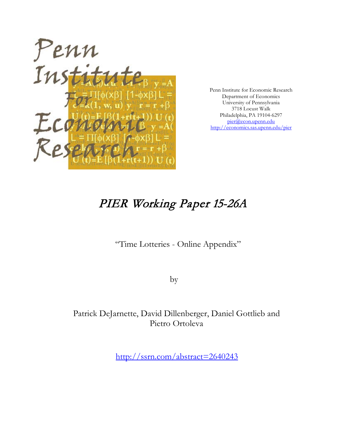

Penn Institute for Economic Research Department of Economics University of Pennsylvania 3718 Locust Walk Philadelphia, PA 19104-6297 [pier@econ.upenn.edu](mailto:pier@econ.upenn.edu) <http://economics.sas.upenn.edu/pier>

# PIER Working Paper 15-26A

"Time Lotteries - Online Appendix"

by

Patrick DeJarnette, David Dillenberger, Daniel Gottlieb and Pietro Ortoleva

[http://ssrn.com/abstract=2](http://ssrn.com/abstract_id=)640243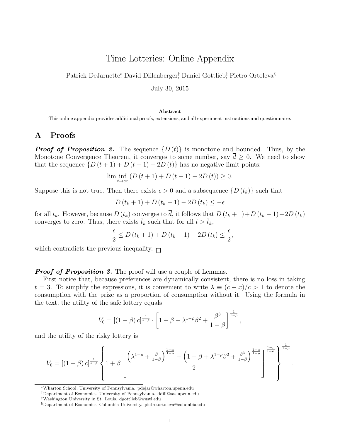# Time Lotteries: Online Appendix

Patrick DeJarnette\*, David Dillenberger<sup>†</sup>, Daniel Gottlieb<sup>‡</sup>, Pietro Ortoleva<sup>§</sup>

July 30, 2015

#### Abstract

This online appendix provides additional proofs, extensions, and all experiment instructions and questionnaire.

### A Proofs

**Proof of Proposition 2.** The sequence  $\{D(t)\}\$ is monotone and bounded. Thus, by the Monotone Convergence Theorem, it converges to some number, say  $\bar{d} \geq 0$ . We need to show that the sequence  $\{D(t+1) + D(t-1) - 2D(t)\}\$  has no negative limit points:

$$
\liminf_{t \to \infty} (D(t+1) + D(t-1) - 2D(t)) \ge 0.
$$

Suppose this is not true. Then there exists  $\epsilon > 0$  and a subsequence  $\{D(t_k)\}\$  such that

$$
D(t_k + 1) + D(t_k - 1) - 2D(t_k) \le -\epsilon
$$

for all  $t_k$ . However, because  $D(t_k)$  converges to  $\overline{d}$ , it follows that  $D(t_k + 1) + D(t_k - 1) - 2D(t_k)$ converges to zero. Thus, there exists  $\bar{t}_k$  such that for all  $t > \bar{t}_k$ ,

$$
-\frac{\epsilon}{2} \le D(t_k+1) + D(t_k-1) - 2D(t_k) \le \frac{\epsilon}{2},
$$

which contradicts the previous inequality.  $\Box$ 

**Proof of Proposition 3.** The proof will use a couple of Lemmas.

First notice that, because preferences are dynamically consistent, there is no loss in taking  $t = 3$ . To simplify the expressions, it is convenient to write  $\lambda \equiv (c + x)/c > 1$  to denote the consumption with the prize as a proportion of consumption without it. Using the formula in the text, the utility of the safe lottery equals

$$
V_0 = [(1 - \beta) c]^{\frac{1}{1 - \rho}} \cdot \left[ 1 + \beta + \lambda^{1 - \rho} \beta^2 + \frac{\beta^3}{1 - \beta} \right]^{\frac{1}{1 - \rho}},
$$

and the utility of the risky lottery is

$$
V_0 = \left[ \left(1-\beta\right)c \right]^\frac{1}{1-\rho}\left\{1+\beta\left[\frac{\left(\lambda^{1-\rho}+\frac{\beta}{1-\beta}\right)^\frac{1-\alpha}{1-\rho}+\left(1+\beta+\lambda^{1-\rho}\beta^2+\frac{\beta^3}{1-\beta}\right)^\frac{1-\alpha}{1-\rho}}{2}\right]^{\frac{1-\rho}{1-\alpha}}\right\}^\frac{1}{1-\rho}.
$$

<sup>∗</sup>Wharton School, University of Pennsylvania. pdejar@wharton.upenn.edu

<sup>†</sup>Department of Economics, University of Pennsylvania. ddill@sas.upenn.edu

<sup>‡</sup>Washington University in St. Louis. dgottlieb@wustl.edu

<sup>§</sup>Department of Economics, Columbia University. pietro.ortoleva@columbia.edu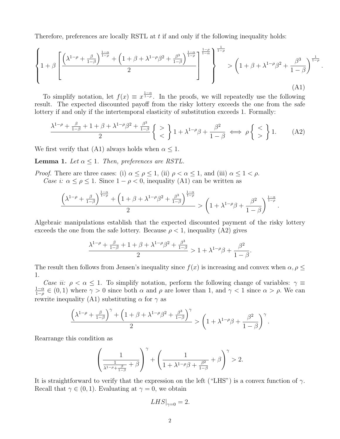Therefore, preferences are locally RSTL at  $t$  if and only if the following inequality holds:

$$
\left\{1+\beta\left[\frac{\left(\lambda^{1-\rho}+\frac{\beta}{1-\beta}\right)^{\frac{1-\alpha}{1-\rho}}+\left(1+\beta+\lambda^{1-\rho}\beta^2+\frac{\beta^3}{1-\beta}\right)^{\frac{1-\alpha}{1-\rho}}}{2}\right]^{\frac{1-\rho}{1-\alpha}}\right\}^{1-\rho} > \left(1+\beta+\lambda^{1-\rho}\beta^2+\frac{\beta^3}{1-\beta}\right)^{\frac{1}{1-\rho}}
$$
\n(A1)

.

To simplify notation, let  $f(x) \equiv x^{\frac{1-\alpha}{1-\rho}}$ . In the proofs, we will repeatedly use the following result. The expected discounted payoff from the risky lottery exceeds the one from the safe lottery if and only if the intertemporal elasticity of substitution exceeds 1. Formally:

$$
\frac{\lambda^{1-\rho} + \frac{\beta}{1-\beta} + 1 + \beta + \lambda^{1-\rho}\beta^2 + \frac{\beta^3}{1-\beta}}{2} \left\{ \begin{array}{c} > \\ < \end{array} \right\} 1 + \lambda^{1-\rho}\beta + \frac{\beta^2}{1-\beta} \iff \rho \left\{ \begin{array}{c} < \\ > \\ \end{array} \right\} 1. \tag{A2}
$$

We first verify that (A1) always holds when  $\alpha \leq 1$ .

**Lemma 1.** Let  $\alpha \leq 1$ . Then, preferences are RSTL.

*Proof.* There are three cases: (i)  $\alpha \leq \rho \leq 1$ , (ii)  $\rho < \alpha \leq 1$ , and (iii)  $\alpha \leq 1 < \rho$ . Case i:  $\alpha \leq \rho \leq 1$ . Since  $1 - \rho < 0$ , inequality (A1) can be written as

$$
\frac{\left(\lambda^{1-\rho}+\frac{\beta}{1-\beta}\right)^{\frac{1-\alpha}{1-\rho}}+\left(1+\beta+\lambda^{1-\rho}\beta^2+\frac{\beta^3}{1-\beta}\right)^{\frac{1-\alpha}{1-\rho}}}{2}>\left(1+\lambda^{1-\rho}\beta+\frac{\beta^2}{1-\beta}\right)^{\frac{1-\alpha}{1-\rho}}.
$$

Algebraic manipulations establish that the expected discounted payment of the risky lottery exceeds the one from the safe lottery. Because  $\rho < 1$ , inequality (A2) gives

$$
\frac{\lambda^{1-\rho}+\frac{\beta}{1-\beta}+1+\beta+\lambda^{1-\rho}\beta^2+\frac{\beta^3}{1-\beta}}{2}>1+\lambda^{1-\rho}\beta+\frac{\beta^2}{1-\beta}.
$$

The result then follows from Jensen's inequality since  $f(x)$  is increasing and convex when  $\alpha, \rho \leq$ 1.

Case ii:  $\rho < \alpha \leq 1$ . To simplify notation, perform the following change of variables:  $\gamma \equiv$  $1-\alpha$  $\frac{1-\alpha}{1-\rho} \in (0,1)$  where  $\gamma > 0$  since both  $\alpha$  and  $\rho$  are lower than 1, and  $\gamma < 1$  since  $\alpha > \rho$ . We can rewrite inequality (A1) substituting  $\alpha$  for  $\gamma$  as

$$
\frac{\left(\lambda^{1-\rho}+\frac{\beta}{1-\beta}\right)^{\gamma}+\left(1+\beta+\lambda^{1-\rho}\beta^2+\frac{\beta^3}{1-\beta}\right)^{\gamma}}{2}>\left(1+\lambda^{1-\rho}\beta+\frac{\beta^2}{1-\beta}\right)^{\gamma}.
$$

Rearrange this condition as

$$
\left(\frac{1}{\frac{1}{\lambda^{1-\rho}+\frac{\beta}{1-\beta}}+\beta}\right)^{\gamma}+\left(\frac{1}{1+\lambda^{1-\rho}\beta+\frac{\beta^2}{1-\beta}}+\beta\right)^{\gamma}>2.
$$

It is straightforward to verify that the expression on the left ("LHS") is a convex function of  $\gamma$ . Recall that  $\gamma \in (0, 1)$ . Evaluating at  $\gamma = 0$ , we obtain

$$
LHS|_{\gamma=0} = 2.
$$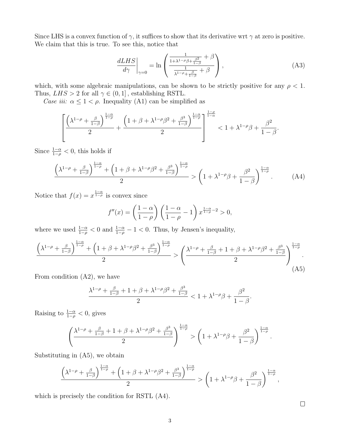Since LHS is a convex function of  $\gamma$ , it suffices to show that its derivative wrt  $\gamma$  at zero is positive. We claim that this is true. To see this, notice that

$$
\left. \frac{dLHS}{d\gamma} \right|_{\gamma=0} = \ln \left( \frac{\frac{1}{1+\lambda^{1-\rho}\beta + \frac{\beta^2}{1-\beta}} + \beta}{\frac{1}{\lambda^{1-\rho} + \frac{\beta}{1-\beta}} + \beta} \right),\tag{A3}
$$

which, with some algebraic manipulations, can be shown to be strictly positive for any  $\rho < 1$ . Thus,  $LHS > 2$  for all  $\gamma \in (0,1]$ , establishing RSTL.

Case iii:  $\alpha \leq 1 < \rho$ . Inequality (A1) can be simplified as

$$
\left[\frac{\left(\lambda^{1-\rho}+\frac{\beta}{1-\beta}\right)^{\frac{1-\alpha}{1-\rho}}}{2}+\frac{\left(1+\beta+\lambda^{1-\rho}\beta^2+\frac{\beta^3}{1-\beta}\right)^{\frac{1-\alpha}{1-\rho}}}{2}\right]^{\frac{1-\rho}{1-\alpha}}<1+\lambda^{1-\rho}\beta+\frac{\beta^2}{1-\beta}.
$$

Since  $\frac{1-\alpha}{1-\rho} < 0$ , this holds if

$$
\frac{\left(\lambda^{1-\rho} + \frac{\beta}{1-\beta}\right)^{\frac{1-\alpha}{1-\rho}} + \left(1+\beta+\lambda^{1-\rho}\beta^2 + \frac{\beta^3}{1-\beta}\right)^{\frac{1-\alpha}{1-\rho}}}{2} > \left(1+\lambda^{1-\rho}\beta + \frac{\beta^2}{1-\beta}\right)^{\frac{1-\alpha}{1-\rho}}.\tag{A4}
$$

Notice that  $f(x) = x^{\frac{1-\alpha}{1-\rho}}$  is convex since

$$
f''(x) = \left(\frac{1-\alpha}{1-\rho}\right) \left(\frac{1-\alpha}{1-\rho} - 1\right) x^{\frac{1-\alpha}{1-\rho}-2} > 0,
$$

where we used  $\frac{1-\alpha}{1-\rho} < 0$  and  $\frac{1-\alpha}{1-\rho} - 1 < 0$ . Thus, by Jensen's inequality,

$$
\frac{\left(\lambda^{1-\rho} + \frac{\beta}{1-\beta}\right)^{\frac{1-\alpha}{1-\rho}} + \left(1+\beta+\lambda^{1-\rho}\beta^2 + \frac{\beta^3}{1-\beta}\right)^{\frac{1-\alpha}{1-\rho}}}{2} > \left(\frac{\lambda^{1-\rho} + \frac{\beta}{1-\beta} + 1 + \beta + \lambda^{1-\rho}\beta^2 + \frac{\beta^3}{1-\beta}}{2}\right)^{\frac{1-\alpha}{1-\rho}}.\tag{A5}
$$

From condition (A2), we have

$$
\frac{\lambda^{1-\rho}+\frac{\beta}{1-\beta}+1+\beta+\lambda^{1-\rho}\beta^2+\frac{\beta^3}{1-\beta}}{2}<1+\lambda^{1-\rho}\beta+\frac{\beta^2}{1-\beta}.
$$

Raising to  $\frac{1-\alpha}{1-\rho} < 0$ , gives

$$
\left(\frac{\lambda^{1-\rho}+\frac{\beta}{1-\beta}+1+\beta+\lambda^{1-\rho}\beta^2+\frac{\beta^3}{1-\beta}}{2}\right)^{\frac{1-\alpha}{1-\rho}}>\left(1+\lambda^{1-\rho}\beta+\frac{\beta^2}{1-\beta}\right)^{\frac{1-\alpha}{1-\rho}}.
$$

Substituting in (A5), we obtain

$$
\frac{\left(\lambda^{1-\rho}+\frac{\beta}{1-\beta}\right)^{\frac{1-\alpha}{1-\rho}}+\left(1+\beta+\lambda^{1-\rho}\beta^2+\frac{\beta^3}{1-\beta}\right)^{\frac{1-\alpha}{1-\rho}}}{2}>\left(1+\lambda^{1-\rho}\beta+\frac{\beta^2}{1-\beta}\right)^{\frac{1-\alpha}{1-\rho}},
$$

which is precisely the condition for RSTL (A4).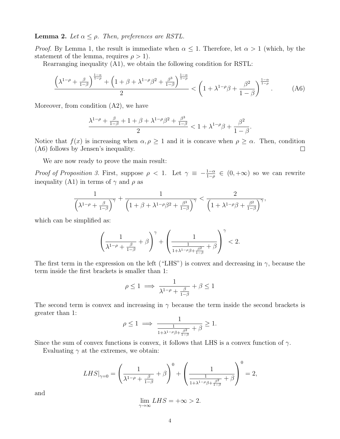**Lemma 2.** Let  $\alpha \leq \rho$ . Then, preferences are RSTL.

*Proof.* By Lemma 1, the result is immediate when  $\alpha \leq 1$ . Therefore, let  $\alpha > 1$  (which, by the statement of the lemma, requires  $\rho > 1$ .

Rearranging inequality (A1), we obtain the following condition for RSTL:

$$
\frac{\left(\lambda^{1-\rho} + \frac{\beta}{1-\beta}\right)^{\frac{1-\alpha}{1-\rho}} + \left(1+\beta+\lambda^{1-\rho}\beta^2 + \frac{\beta^3}{1-\beta}\right)^{\frac{1-\alpha}{1-\rho}}}{2} < \left(1+\lambda^{1-\rho}\beta + \frac{\beta^2}{1-\beta}\right)^{\frac{1-\alpha}{1-\rho}}.\tag{A6}
$$

Moreover, from condition (A2), we have

$$
\frac{\lambda^{1-\rho}+\frac{\beta}{1-\beta}+1+\beta+\lambda^{1-\rho}\beta^2+\frac{\beta^3}{1-\beta}}{2}<1+\lambda^{1-\rho}\beta+\frac{\beta^2}{1-\beta}.
$$

Notice that  $f(x)$  is increasing when  $\alpha, \rho \ge 1$  and it is concave when  $\rho \ge \alpha$ . Then, condition (A6) follows by Jensen's inequality.  $\Box$ 

We are now ready to prove the main result:

Proof of Proposition 3. First, suppose  $\rho < 1$ . Let  $\gamma \equiv -\frac{1-\alpha}{1-\rho} \in (0, +\infty)$  so we can rewrite inequality (A1) in terms of  $\gamma$  and  $\rho$  as

$$
\frac{1}{\left(\lambda^{1-\rho}+\frac{\beta}{1-\beta}\right)^{\gamma}}+\frac{1}{\left(1+\beta+\lambda^{1-\rho}\beta^2+\frac{\beta^3}{1-\beta}\right)^{\gamma}}<\frac{2}{\left(1+\lambda^{1-\rho}\beta+\frac{\beta^2}{1-\beta}\right)^{\gamma}},
$$

which can be simplified as:

$$
\left(\frac{1}{\lambda^{1-\rho}+\frac{\beta}{1-\beta}}+\beta\right)^\gamma+\left(\frac{1}{\frac{1}{1+\lambda^{1-\rho}\beta+\frac{\beta^2}{1-\beta}}+\beta}\right)^\gamma<2.
$$

The first term in the expression on the left ("LHS") is convex and decreasing in  $\gamma$ , because the term inside the first brackets is smaller than 1:

$$
\rho \le 1 \implies \frac{1}{\lambda^{1-\rho} + \frac{\beta}{1-\beta}} + \beta \le 1
$$

The second term is convex and increasing in  $\gamma$  because the term inside the second brackets is greater than 1:

$$
\rho \le 1 \implies \frac{1}{\frac{1}{1 + \lambda^{1 - \rho} \beta + \frac{\beta^2}{1 - \beta}} + \beta} \ge 1.
$$

Since the sum of convex functions is convex, it follows that LHS is a convex function of  $\gamma$ .

Evaluating  $\gamma$  at the extremes, we obtain:

$$
LHS|_{\gamma=0} = \left(\frac{1}{\lambda^{1-\rho} + \frac{\beta}{1-\beta}} + \beta\right)^0 + \left(\frac{1}{\frac{1}{1+\lambda^{1-\rho}\beta + \frac{\beta^2}{1-\beta}} + \beta}\right)^0 = 2,
$$

and

$$
\lim_{\gamma \to \infty} LHS = +\infty > 2.
$$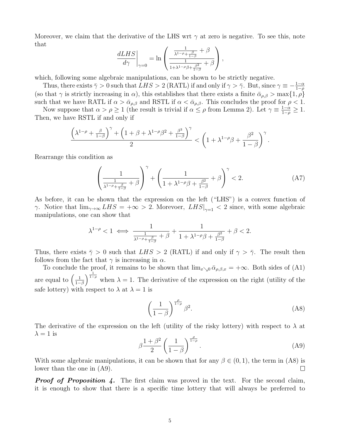Moreover, we claim that the derivative of the LHS wrt  $\gamma$  at zero is negative. To see this, note that

$$
\left. \frac{dLHS}{d\gamma} \right|_{\gamma=0} = \ln \left( \frac{\frac{1}{\lambda^{1-\rho} + \frac{\beta}{1-\beta}} + \beta}{\frac{1}{1+\lambda^{1-\rho}\beta + \frac{\beta^2}{1-\beta}} + \beta} \right),
$$

which, following some algebraic manipulations, can be shown to be strictly negative.

Thus, there exists  $\bar{\gamma} > 0$  such that  $LHS > 2$  (RATL) if and only if  $\gamma > \bar{\gamma}$ . But, since  $\gamma \equiv -\frac{1-\alpha}{1-\rho}$ (so that  $\gamma$  is strictly increasing in  $\alpha$ ), this establishes that there exists a finite  $\bar{\alpha}_{\rho,\beta} > \max\{1,\rho\}$ such that we have RATL if  $\alpha > \bar{\alpha}_{\rho,\beta}$  and RSTL if  $\alpha < \bar{\alpha}_{\rho,\beta}$ . This concludes the proof for  $\rho < 1$ .

Now suppose that  $\alpha > \rho \ge 1$  (the result is trivial if  $\alpha \le \rho$  from Lemma 2). Let  $\gamma \equiv \frac{1-\alpha}{1-\rho} \ge 1$ . Then, we have RSTL if and only if

$$
\frac{\left(\lambda^{1-\rho}+\frac{\beta}{1-\beta}\right)^{\gamma}+\left(1+\beta+\lambda^{1-\rho}\beta^2+\frac{\beta^3}{1-\beta}\right)^{\gamma}}{2}<\left(1+\lambda^{1-\rho}\beta+\frac{\beta^2}{1-\beta}\right)^{\gamma}.
$$

Rearrange this condition as

$$
\left(\frac{1}{\frac{1}{\lambda^{1-\rho}+\frac{\beta}{1-\beta}}+\beta}\right)^{\gamma}+\left(\frac{1}{1+\lambda^{1-\rho}\beta+\frac{\beta^2}{1-\beta}}+\beta\right)^{\gamma}<2.\tag{A7}
$$

As before, it can be shown that the expression on the left ("LHS") is a convex function of  $\gamma$ . Notice that  $\lim_{\gamma \to \infty} LHS = +\infty > 2$ . Morevoer,  $LHS|_{\gamma=1} < 2$  since, with some algebraic manipulations, one can show that

$$
\lambda^{1-\rho} < 1 \iff \frac{1}{\frac{1}{\lambda^{1-\rho} + \frac{\beta}{1-\beta}} + \beta} + \frac{1}{1 + \lambda^{1-\rho}\beta + \frac{\beta^2}{1-\beta}} + \beta < 2.
$$

Thus, there exists  $\bar{\gamma} > 0$  such that  $LHS > 2$  (RATL) if and only if  $\gamma > \bar{\gamma}$ . The result then follows from the fact that  $\gamma$  is increasing in  $\alpha$ .

To conclude the proof, it remains to be shown that  $\lim_{x\to 0} \bar{\alpha}_{\rho,\beta,x} = +\infty$ . Both sides of (A1) are equal to  $\left(\frac{1}{1-}\right)$  $\frac{1}{1-\beta}\Big)^{\frac{1}{1-\rho}}$  when  $\lambda = 1$ . The derivative of the expression on the right (utility of the safe lottery) with respect to  $\lambda$  at  $\lambda = 1$  is

$$
\left(\frac{1}{1-\beta}\right)^{\frac{\rho}{1-\rho}}\beta^2.
$$
 (A8)

The derivative of the expression on the left (utility of the risky lottery) with respect to  $\lambda$  at  $\lambda = 1$  is

$$
\beta \frac{1+\beta^2}{2} \left(\frac{1}{1-\beta}\right)^{\frac{\rho}{1-\rho}}.\tag{A9}
$$

With some algebraic manipulations, it can be shown that for any  $\beta \in (0, 1)$ , the term in (A8) is lower than the one in (A9).  $\Box$ 

**Proof of Proposition 4.** The first claim was proved in the text. For the second claim, it is enough to show that there is a specific time lottery that will always be preferred to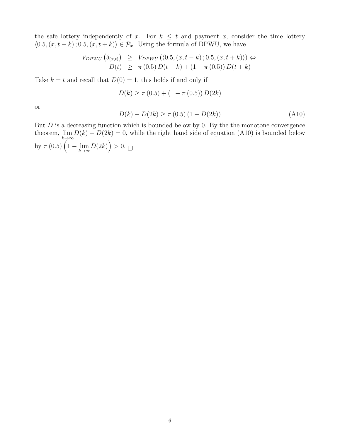the safe lottery independently of x. For  $k \leq t$  and payment x, consider the time lottery  $\langle 0.5, (x, t - k); 0.5, (x, t + k) \rangle \in \mathcal{P}_x$ . Using the formula of DPWU, we have

$$
V_{DPWU} \left( \delta_{(x,t)} \right) \geq V_{DPWU} \left( \langle 0.5, (x, t - k) \, ; 0.5, (x, t + k) \rangle \right) \Leftrightarrow
$$
  

$$
D(t) \geq \pi \left( 0.5 \right) D(t - k) + (1 - \pi \left( 0.5 \right)) D(t + k)
$$

Take  $k = t$  and recall that  $D(0) = 1$ , this holds if and only if

$$
D(k) \ge \pi (0.5) + (1 - \pi (0.5)) D(2k)
$$

or

$$
D(k) - D(2k) \ge \pi (0.5) (1 - D(2k))
$$
\n(A10)

But  $D$  is a decreasing function which is bounded below by 0. By the the monotone convergence theorem,  $\lim_{k \to \infty} D(k) - D(2k) = 0$ , while the right hand side of equation (A10) is bounded below by  $\pi (0.5) \left( 1 - \lim_{k \to \infty} D(2k) \right) > 0.$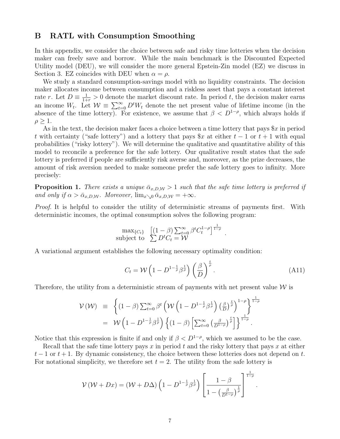### B RATL with Consumption Smoothing

In this appendix, we consider the choice between safe and risky time lotteries when the decision maker can freely save and borrow. While the main benchmark is the Discounted Expected Utility model (DEU), we will consider the more general Epstein-Zin model (EZ) we discuss in Section 3. EZ coincides with DEU when  $\alpha = \rho$ .

We study a standard consumption-savings model with no liquidity constraints. The decision maker allocates income between consumption and a riskless asset that pays a constant interest rate r. Let  $D \equiv \frac{1}{1+r} > 0$  denote the market discount rate. In period t, the decision maker earns an income  $W_t$ . Let  $W \equiv \sum_{t=0}^{\infty} D^t W_t$  denote the net present value of lifetime income (in the absence of the time lottery). For existence, we assume that  $\beta < D^{1-\rho}$ , which always holds if  $\rho \geq 1$ .

As in the text, the decision maker faces a choice between a time lottery that pays  $x$  in period t with certainty ("safe lottery") and a lottery that pays  $x$  at either  $t - 1$  or  $t + 1$  with equal probabilities ("risky lottery"). We will determine the qualitative and quantitative ability of this model to reconcile a preference for the safe lottery. Our qualitative result states that the safe lottery is preferred if people are sufficiently risk averse and, moreover, as the prize decreases, the amount of risk aversion needed to make someone prefer the safe lottery goes to infinity. More precisely:

**Proposition 1.** There exists a unique  $\bar{\alpha}_{x,D,W} > 1$  such that the safe time lottery is preferred if and only if  $\alpha > \bar{\alpha}_{x,D,W}$ . Moreover,  $\lim_{x\searrow 0} \bar{\alpha}_{x,D,W} = +\infty$ .

Proof. It is helpful to consider the utility of deterministic streams of payments first. With deterministic incomes, the optimal consumption solves the following program:

$$
\max_{\{C_t\}} \left[ (1-\beta) \sum_{t=0}^{\infty} \beta^t C_t^{1-\rho} \right]^{\frac{1}{1-\rho}}.
$$
  
subject to 
$$
\sum D^t C_t = \mathcal{W}
$$

A variational argument establishes the following necessary optimality condition:

$$
C_t = \mathcal{W}\left(1 - D^{1 - \frac{1}{\rho}} \beta^{\frac{1}{\rho}}\right) \left(\frac{\beta}{D}\right)^{\frac{t}{\rho}}.
$$
\n(A11)

Therefore, the utility from a deterministic stream of payments with net present value  $W$  is

$$
\mathcal{V}(\mathcal{W}) \equiv \left\{ (1-\beta) \sum_{t=0}^{\infty} \beta^t \left( \mathcal{W} \left( 1 - D^{1-\frac{1}{\rho}} \beta^{\frac{1}{\rho}} \right) \left( \frac{\beta}{D} \right)^{\frac{t}{\rho}} \right)^{1-\rho} \right\}^{\frac{1}{1-\rho}}
$$
  
=  $\mathcal{W} \left( 1 - D^{1-\frac{1}{\rho}} \beta^{\frac{1}{\rho}} \right) \left\{ (1-\beta) \left[ \sum_{t=0}^{\infty} \left( \frac{\beta}{D^{1-\rho}} \right)^{\frac{t}{\rho}} \right] \right\}^{\frac{1}{1-\rho}}.$ 

Notice that this expression is finite if and only if  $\beta < D^{1-\rho}$ , which we assumed to be the case.

Recall that the safe time lottery pays x in period t and the risky lottery that pays x at either  $t-1$  or  $t+1$ . By dynamic consistency, the choice between these lotteries does not depend on t. For notational simplicity, we therefore set  $t = 2$ . The utility from the safe lottery is

$$
\mathcal{V}(\mathcal{W} + Dx) = (\mathcal{W} + D\Delta) \left(1 - D^{1 - \frac{1}{\rho}} \beta^{\frac{1}{\rho}}\right) \left[\frac{1 - \beta}{1 - \left(\frac{\beta}{D^{1 - \rho}}\right)^{\frac{1}{\rho}}}\right]^{1 - \rho}.
$$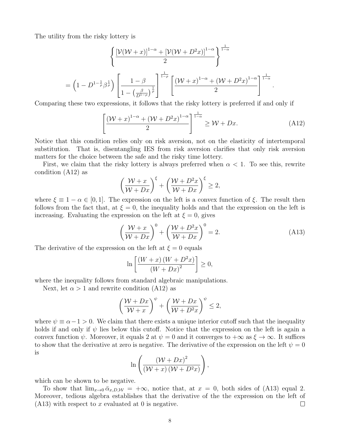The utility from the risky lottery is

$$
\left\{\frac{\left[\mathcal{V}(\mathcal{W}+x)\right]^{1-\alpha} + \left[\mathcal{V}(\mathcal{W}+D^{2}x)\right]^{1-\alpha}}{2}\right\}^{\frac{1}{1-\alpha}}
$$
\n
$$
= \left(1 - D^{1-\frac{1}{\rho}}\beta^{\frac{1}{\rho}}\right)\left[\frac{1-\beta}{1-\left(\frac{\beta}{D^{1-\rho}}\right)^{\frac{1}{\rho}}}\right]^{\frac{1}{1-\rho}}\left[\frac{(\mathcal{W}+x)^{1-\alpha} + (\mathcal{W}+D^{2}x)^{1-\alpha}}{2}\right]^{\frac{1}{1-\alpha}}.
$$

Comparing these two expressions, it follows that the risky lottery is preferred if and only if

$$
\left[\frac{(\mathcal{W}+x)^{1-\alpha}+(\mathcal{W}+D^2x)^{1-\alpha}}{2}\right]^{\frac{1}{1-\alpha}} \ge \mathcal{W}+Dx.
$$
 (A12)

Notice that this condition relies only on risk aversion, not on the elasticity of intertemporal substitution. That is, disentangling IES from risk aversion clarifies that only risk aversion matters for the choice between the safe and the risky time lottery.

First, we claim that the risky lottery is always preferred when  $\alpha < 1$ . To see this, rewrite condition (A12) as

$$
\left(\frac{\mathcal{W}+x}{\mathcal{W}+Dx}\right)^{\xi}+\left(\frac{\mathcal{W}+D^{2}x}{\mathcal{W}+Dx}\right)^{\xi}\geq 2,
$$

where  $\xi \equiv 1 - \alpha \in [0, 1]$ . The expression on the left is a convex function of  $\xi$ . The result then follows from the fact that, at  $\xi = 0$ , the inequality holds and that the expression on the left is increasing. Evaluating the expression on the left at  $\xi = 0$ , gives

$$
\left(\frac{\mathcal{W}+x}{\mathcal{W}+Dx}\right)^0 + \left(\frac{\mathcal{W}+D^2x}{\mathcal{W}+Dx}\right)^0 = 2.
$$
\n(A13)

The derivative of the expression on the left at  $\xi = 0$  equals

$$
\ln\left[\frac{\left(W+x\right)\left(W+D^{2}x\right)}{\left(W+Dx\right)^{2}}\right] \geq 0,
$$

where the inequality follows from standard algebraic manipulations.

Next, let  $\alpha > 1$  and rewrite condition (A12) as

$$
\left(\frac{\mathcal{W} + Dx}{\mathcal{W} + x}\right)^{\psi} + \left(\frac{\mathcal{W} + Dx}{\mathcal{W} + D^2x}\right)^{\psi} \le 2,
$$

where  $\psi \equiv \alpha - 1 > 0$ . We claim that there exists a unique interior cutoff such that the inequality holds if and only if  $\psi$  lies below this cutoff. Notice that the expression on the left is again a convex function  $\psi$ . Moreover, it equals 2 at  $\psi = 0$  and it converges to  $+\infty$  as  $\xi \to \infty$ . It suffices to show that the derivative at zero is negative. The derivative of the expression on the left  $\psi = 0$ is

$$
\ln\left(\frac{\left(\mathcal{W}+Dx\right)^2}{\left(\mathcal{W}+x\right)\left(\mathcal{W}+D^2x\right)}\right),\,
$$

which can be shown to be negative.

To show that  $\lim_{x\to 0} \bar{\alpha}_{x,D,W} = +\infty$ , notice that, at  $x = 0$ , both sides of (A13) equal 2. Moreover, tedious algebra establishes that the derivative of the the expression on the left of  $(A13)$  with respect to x evaluated at 0 is negative.  $\Box$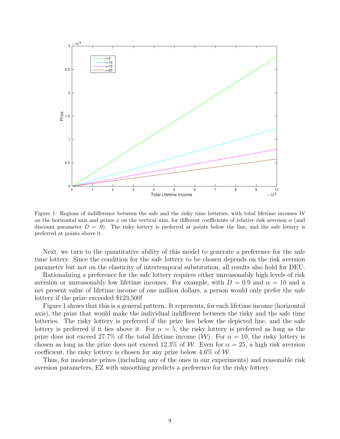

Figure 1: Regions of indifference between the safe and the risky time lotteries, with total lifetime incomes  $W$ on the horizontal axis and prizes x on the vertical axis, for different coefficients of relative risk aversion  $\alpha$  (and discount parameter  $D = .9$ . The risky lottery is preferred at points below the line, and the safe lottery is preferred at points above it.

Next, we turn to the quantitative ability of this model to generate a preference for the safe time lottery. Since the condition for the safe lottery to be chosen depends on the risk aversion parameter but not on the elasticity of intertemporal substitution, all results also hold for DEU.

Rationalizing a preference for the safe lottery requires either unreasonably high levels of risk aversion or unreasonably low lifetime incomes. For example, with  $D = 0.9$  and  $\alpha = 10$  and a net present value of lifetime income of one million dollars, a person would only prefer the safe lottery if the prize exceeded \$123,500!

Figure 1 shows that this is a general pattern. It represents, for each lifetime income (horizontal axis), the prize that would make the individual indifferent between the risky and the safe time lotteries. The risky lottery is preferred if the prize lies below the depicted line, and the safe lottery is preferred if it lies above it. For  $\alpha = 5$ , the risky lottery is preferred as long as the prize does not exceed 27.7% of the total lifetime income  $(\mathcal{W})$ . For  $\alpha = 10$ , the risky lottery is chosen as long as the prize does not exceed 12.3% of W. Even for  $\alpha = 25$ , a high risk aversion coefficient, the risky lottery is chosen for any prize below  $4.6\%$  of W.

Thus, for moderate prizes (including any of the ones in our experiments) and reasonable risk aversion parameters, EZ with smoothing predicts a preference for the risky lottery.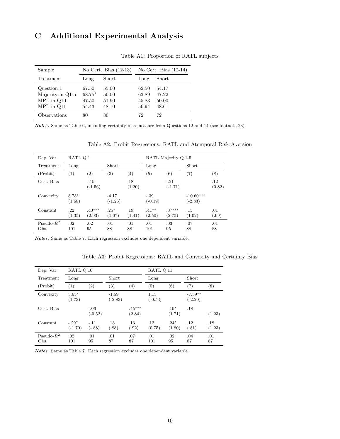# C Additional Experimental Analysis

| Sample           |        | No Cert. Bias $(12-13)$ |       | No Cert. Bias $(12-14)$ |
|------------------|--------|-------------------------|-------|-------------------------|
| Treatment        | Long   | Short                   | Long  | Short                   |
| Question 1       | 67.50  | 55.00                   | 62.50 | 54.17                   |
| Majority in Q1-5 | 68.75* | 50.00                   | 63.89 | 47.22                   |
| $MPL$ in $Q10$   | 47.50  | 51.90                   | 45.83 | 50.00                   |
| MPL in Q11       | 54.43  | 48.10                   | 56.94 | 48.61                   |
| Observations     | 80     | 80                      | 72    | 72                      |

Table A1: Proportion of RATL subjects

Notes. Same as Table 6, including certainty bias measure from Questions 12 and 14 (see footnote 23).

| Dep. Var.             | RATL Q.1          |                     |                      |                   | RATL Majority Q.1-5 |                     |                          |                   |
|-----------------------|-------------------|---------------------|----------------------|-------------------|---------------------|---------------------|--------------------------|-------------------|
| Treatment             | Long              |                     | Short                |                   | Long                |                     | Short                    |                   |
| (Probit)              | $\left( 1\right)$ | (2)                 | $\left( 3\right)$    | $\left( 4\right)$ | $\left( 5\right)$   | $\left( 6\right)$   | (7)                      | $^{(8)}$          |
| Cert. Bias            |                   | $-.19$<br>$(-1.56)$ |                      | .18<br>(1.20)     |                     | $-.21$<br>$(-1.71)$ |                          | $.12\,$<br>(0.82) |
| Convexity             | $3.73*$<br>(1.68) |                     | $-4.17$<br>$(-1.25)$ |                   | $-.39$<br>$(-0.19)$ |                     | $-10.60***$<br>$(-2.83)$ |                   |
| Constant              | .22<br>(1.35)     | $.40***$<br>(2.93)  | $.25*$<br>(1.67)     | .19<br>(1.41)     | $.41***$<br>(2.50)  | $.37***$<br>(2.75)  | .15<br>(1.02)            | .01<br>(.09)      |
| Pseudo- $R^2$<br>Obs. | .02<br>101        | .02<br>95           | .01<br>88            | .01<br>88         | .01<br>101          | .03<br>95           | .07<br>88                | .01<br>88         |

Table A2: Probit Regressions: RATL and Atemporal Risk Aversion

Notes. Same as Table 7. Each regression excludes one dependent variable.

Table A3: Probit Regressions: RATL and Convexity and Certainty Bias

| Dep. Var.             | RATL Q.10            |                     |                      |                    | RATL Q.11         |                   |                        |               |
|-----------------------|----------------------|---------------------|----------------------|--------------------|-------------------|-------------------|------------------------|---------------|
| Treatment             | Long                 |                     | Short                |                    | Long              |                   | <b>Short</b>           |               |
| (Probit)              | (1)                  | $\left( 2\right)$   | (3)                  | $\left( 4\right)$  | (5)               | $\left( 6\right)$ | (7)                    | (8)           |
| Convexity             | $3.63*$<br>(1.73)    |                     | $-1.59$<br>$(-2.83)$ |                    | 1.13<br>$(-0.53)$ |                   | $-7.59**$<br>$(-2.20)$ |               |
| Cert. Bias            |                      | $-.06$<br>$(-0.52)$ |                      | $.45***$<br>(2.84) |                   | $.19*$<br>(1.71)  | .18                    | (1.23)        |
| Constant              | $-.29*$<br>$(-1.79)$ | $-.11$<br>$(-.88)$  | .13<br>(.88)         | .13<br>(.92)       | .12<br>(0.75)     | $.24*$<br>(1.80)  | .12<br>(.81)           | .18<br>(1.23) |
| Pseudo- $R^2$<br>Obs. | .02<br>101           | .01<br>95           | .01<br>87            | .07<br>87          | .01<br>101        | .02<br>95         | .04<br>87              | .01<br>87     |

Notes. Same as Table 7. Each regression excludes one dependent variable.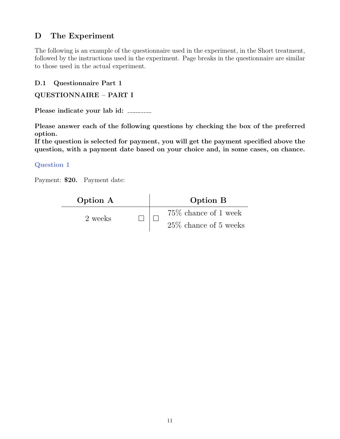# D The Experiment

The following is an example of the questionnaire used in the experiment, in the Short treatment, followed by the instructions used in the experiment. Page breaks in the questionnaire are similar to those used in the actual experiment.

### D.1 Questionnaire Part 1

```
QUESTIONNAIRE – PART I
```
Please indicate your lab id:

Please answer each of the following questions by checking the box of the preferred option.

If the question is selected for payment, you will get the payment specified above the question, with a payment date based on your choice and, in some cases, on chance.

### Question 1

Payment: \$20. Payment date:

| Option A |  | Option B                 |
|----------|--|--------------------------|
| 2 weeks  |  | $75\%$ chance of 1 week  |
|          |  | $25\%$ chance of 5 weeks |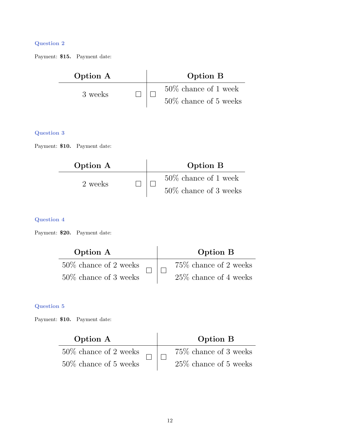Payment: \$15. Payment date:

| Option A | Option B                 |
|----------|--------------------------|
| 3 weeks  | $50\%$ chance of 1 week  |
|          | $50\%$ chance of 5 weeks |

### Question 3

Payment: \$10. Payment date:

| Option A |  | Option B                 |
|----------|--|--------------------------|
|          |  | $50\%$ chance of 1 week  |
| 2 weeks  |  | $50\%$ chance of 3 weeks |

#### Question 4

Payment: \$20. Payment date:

| Option A                 |  | Option B                 |
|--------------------------|--|--------------------------|
| $50\%$ chance of 2 weeks |  | 75\% chance of 2 weeks   |
| $50\%$ chance of 3 weeks |  | $25\%$ chance of 4 weeks |

#### Question 5

Payment: \$10. Payment date:

| Option A                 |  | Option B                 |
|--------------------------|--|--------------------------|
| $50\%$ chance of 2 weeks |  | 75\% chance of 3 weeks   |
| $50\%$ chance of 5 weeks |  | $25\%$ chance of 5 weeks |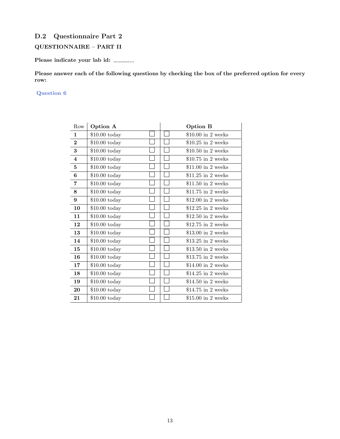### D.2 Questionnaire Part 2

### QUESTIONNAIRE – PART II

Please indicate your lab id:

Please answer each of the following questions by checking the box of the preferred option for every row:

| Row                     | Option A        | <b>Option B</b>     |
|-------------------------|-----------------|---------------------|
| $\mathbf 1$             | $$10.00$ today  | $$10.00$ in 2 weeks |
| $\overline{2}$          | $\$10.00$ today | $$10.25$ in 2 weeks |
| 3                       | $$10.00$ today  | $$10.50$ in 2 weeks |
| $\overline{\mathbf{4}}$ | $$10.00$ today  | $$10.75$ in 2 weeks |
| 5                       | $$10.00$ today  | $$11.00$ in 2 weeks |
| 6                       | $$10.00$ today  | $$11.25$ in 2 weeks |
| 7                       | $$10.00$ today  | $$11.50$ in 2 weeks |
| 8                       | $$10.00$ today  | $$11.75$ in 2 weeks |
| 9                       | $$10.00$ today  | $$12.00$ in 2 weeks |
| 10                      | $$10.00$ today  | $$12.25$ in 2 weeks |
| 11                      | $$10.00$ today  | $$12.50$ in 2 weeks |
| 12                      | $$10.00$ today  | $$12.75$ in 2 weeks |
| 13                      | $$10.00$ today  | $$13.00$ in 2 weeks |
| 14                      | $$10.00$ today  | $$13.25$ in 2 weeks |
| 15                      | $$10.00$ today  | \$13.50 in 2 weeks  |
| 16                      | $$10.00$ today  | $$13.75$ in 2 weeks |
| 17                      | $$10.00$ today  | $$14.00$ in 2 weeks |
| 18                      | $$10.00$ today  | $$14.25$ in 2 weeks |
| 19                      | $$10.00$ today  | $$14.50$ in 2 weeks |
| 20                      | $$10.00$ today  | $$14.75$ in 2 weeks |
| 21                      | $$10.00$ today  | $$15.00$ in 2 weeks |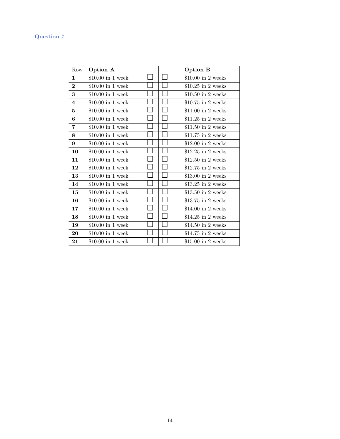| Row          | Option A           |  | <b>Option B</b>     |
|--------------|--------------------|--|---------------------|
| $\mathbf{1}$ | $$10.00$ in 1 week |  | $$10.00$ in 2 weeks |
| $\mathbf 2$  | $$10.00$ in 1 week |  | $$10.25$ in 2 weeks |
| 3            | $$10.00$ in 1 week |  | $$10.50$ in 2 weeks |
| 4            | $$10.00$ in 1 week |  | $$10.75$ in 2 weeks |
| 5            | $$10.00$ in 1 week |  | $$11.00$ in 2 weeks |
| 6            | $$10.00$ in 1 week |  | $$11.25$ in 2 weeks |
| 7            | $$10.00$ in 1 week |  | $$11.50$ in 2 weeks |
| 8            | $$10.00$ in 1 week |  | $$11.75$ in 2 weeks |
| 9            | $$10.00$ in 1 week |  | $$12.00$ in 2 weeks |
| 10           | $$10.00$ in 1 week |  | $$12.25$ in 2 weeks |
| 11           | $$10.00$ in 1 week |  | $$12.50$ in 2 weeks |
| 12           | $$10.00$ in 1 week |  | $$12.75$ in 2 weeks |
| 13           | $$10.00$ in 1 week |  | $$13.00$ in 2 weeks |
| 14           | $$10.00$ in 1 week |  | $$13.25$ in 2 weeks |
| 15           | $$10.00$ in 1 week |  | $$13.50$ in 2 weeks |
| 16           | $$10.00$ in 1 week |  | \$13.75 in 2 weeks  |
| 17           | $$10.00$ in 1 week |  | $$14.00$ in 2 weeks |
| 18           | $$10.00$ in 1 week |  | $$14.25$ in 2 weeks |
| 19           | $$10.00$ in 1 week |  | $$14.50$ in 2 weeks |
| 20           | $$10.00$ in 1 week |  | $$14.75$ in 2 weeks |
| 21           | $$10.00$ in 1 week |  | \$15.00 in 2 weeks  |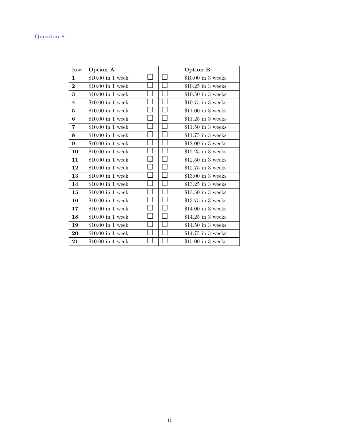| Row                     | Option A           |  | <b>Option B</b>     |
|-------------------------|--------------------|--|---------------------|
| $\mathbf{1}$            | $$10.00$ in 1 week |  | $$10.00$ in 3 weeks |
| $\mathbf{2}$            | $$10.00$ in 1 week |  | $$10.25$ in 3 weeks |
| 3                       | $$10.00$ in 1 week |  | $$10.50$ in 3 weeks |
| $\overline{\mathbf{4}}$ | $$10.00$ in 1 week |  | $$10.75$ in 3 weeks |
| 5                       | $$10.00$ in 1 week |  | $$11.00$ in 3 weeks |
| 6                       | $$10.00$ in 1 week |  | $$11.25$ in 3 weeks |
| 7                       | $$10.00$ in 1 week |  | $$11.50$ in 3 weeks |
| 8                       | $$10.00$ in 1 week |  | $$11.75$ in 3 weeks |
| 9                       | $$10.00$ in 1 week |  | $$12.00$ in 3 weeks |
| 10                      | $$10.00$ in 1 week |  | $$12.25$ in 3 weeks |
| 11                      | \$10.00 in 1 week  |  | \$12.50 in 3 weeks  |
| 12                      | $$10.00$ in 1 week |  | $$12.75$ in 3 weeks |
| 13                      | $$10.00$ in 1 week |  | \$13.00 in 3 weeks  |
| 14                      | $$10.00$ in 1 week |  | $$13.25$ in 3 weeks |
| 15                      | $$10.00$ in 1 week |  | $$13.50$ in 3 weeks |
| 16                      | $$10.00$ in 1 week |  | \$13.75 in 3 weeks  |
| 17                      | $$10.00$ in 1 week |  | $$14.00$ in 3 weeks |
| 18                      | $$10.00$ in 1 week |  | $$14.25$ in 3 weeks |
| 19                      | $$10.00$ in 1 week |  | $$14.50$ in 3 weeks |
| 20                      | $$10.00$ in 1 week |  | $$14.75$ in 3 weeks |
| 21                      | $$10.00$ in 1 week |  | \$15.00 in 3 weeks  |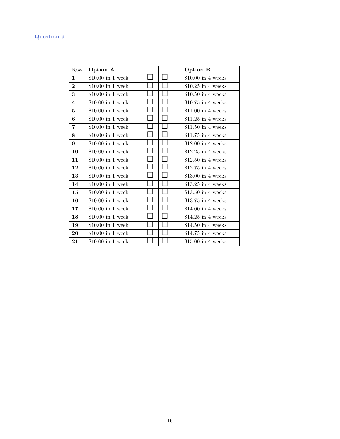| Row                     | Option A           |  | <b>Option B</b>     |
|-------------------------|--------------------|--|---------------------|
| 1                       | $$10.00$ in 1 week |  | $$10.00$ in 4 weeks |
| $\overline{2}$          | $$10.00$ in 1 week |  | $$10.25$ in 4 weeks |
| 3                       | $$10.00$ in 1 week |  | $$10.50$ in 4 weeks |
| $\overline{\mathbf{4}}$ | $$10.00$ in 1 week |  | $$10.75$ in 4 weeks |
| 5                       | $$10.00$ in 1 week |  | $$11.00$ in 4 weeks |
| 6                       | $$10.00$ in 1 week |  | $$11.25$ in 4 weeks |
| 7                       | $$10.00$ in 1 week |  | $$11.50$ in 4 weeks |
| 8                       | $$10.00$ in 1 week |  | $$11.75$ in 4 weeks |
| 9                       | $$10.00$ in 1 week |  | $$12.00$ in 4 weeks |
| 10                      | $$10.00$ in 1 week |  | \$12.25 in 4 weeks  |
| 11                      | $$10.00$ in 1 week |  | $$12.50$ in 4 weeks |
| 12                      | $$10.00$ in 1 week |  | $$12.75$ in 4 weeks |
| 13                      | $$10.00$ in 1 week |  | \$13.00 in 4 weeks  |
| 14                      | $$10.00$ in 1 week |  | $$13.25$ in 4 weeks |
| 15                      | $$10.00$ in 1 week |  | $$13.50$ in 4 weeks |
| 16                      | $$10.00$ in 1 week |  | \$13.75 in 4 weeks  |
| 17                      | $$10.00$ in 1 week |  | $$14.00$ in 4 weeks |
| 18                      | $$10.00$ in 1 week |  | $$14.25$ in 4 weeks |
| 19                      | $$10.00$ in 1 week |  | $$14.50$ in 4 weeks |
| 20                      | $$10.00$ in 1 week |  | $$14.75$ in 4 weeks |
| 21                      | $$10.00$ in 1 week |  | \$15.00 in 4 weeks  |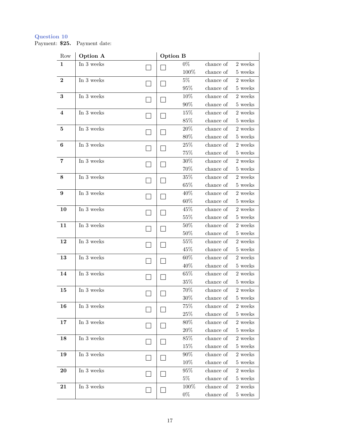Payment: \$25. Payment date:

| Row                     | Option A   | <b>Option B</b> |        |           |                |
|-------------------------|------------|-----------------|--------|-----------|----------------|
| 1                       | In 3 weeks |                 | $0\%$  | chance of | 2 weeks        |
|                         |            |                 | 100%   | chance of | 5 weeks        |
| $\overline{2}$          | In 3 weeks |                 | 5%     | chance of | 2 weeks        |
|                         |            |                 | 95%    | chance of | 5 weeks        |
| $\bf{3}$                | In 3 weeks |                 | 10%    | chance of | 2 weeks        |
|                         |            |                 | 90%    | chance of | 5 weeks        |
| $\overline{\mathbf{4}}$ | In 3 weeks |                 | $15\%$ | chance of | 2 weeks        |
|                         |            |                 | 85%    | chance of | 5 weeks        |
| 5                       | In 3 weeks |                 | 20%    | chance of | 2 weeks        |
|                         |            |                 | 80%    | chance of | 5 weeks        |
| $\boldsymbol{6}$        | In 3 weeks |                 | $25\%$ | chance of | 2 weeks        |
|                         |            |                 | $75\%$ | chance of | 5 weeks        |
| 7                       | In 3 weeks |                 | $30\%$ | chance of | 2 weeks        |
|                         |            |                 | 70%    | chance of | 5 weeks        |
| 8                       | In 3 weeks |                 | 35%    | chance of | 2 weeks        |
|                         |            |                 | 65%    | chance of | 5 weeks        |
| 9                       | In 3 weeks |                 | 40%    | chance of | 2 weeks        |
|                         |            |                 | 60%    | chance of | 5 weeks        |
| 10                      | In 3 weeks |                 | 45%    | chance of | 2 weeks        |
|                         |            |                 | 55%    | chance of | 5 weeks        |
| 11                      | In 3 weeks |                 | $50\%$ | chance of | 2 weeks        |
|                         |            |                 | $50\%$ | chance of | 5 weeks        |
| 12                      | In 3 weeks |                 | 55%    | chance of | 2 weeks        |
|                         |            |                 | 45\%   | chance of | 5 weeks        |
| 13                      | In 3 weeks |                 | 60%    | chance of | 2 weeks        |
|                         |            |                 | 40%    | chance of | 5 weeks        |
| 14                      | In 3 weeks |                 | 65%    | chance of | $2$ weeks $\,$ |
|                         |            |                 | 35%    | chance of | 5 weeks        |
| 15                      | In 3 weeks |                 | 70%    | chance of | 2 weeks        |
|                         |            |                 | $30\%$ | chance of | 5 weeks        |
| 16                      | In 3 weeks |                 | 75%    | chance of | 2 weeks        |
|                         |            |                 | 25%    | chance of | 5 weeks        |
| 17                      | In 3 weeks |                 | $80\%$ | chance of | 2 weeks        |
|                         |            |                 | $20\%$ | chance of | 5 weeks        |
| 18                      | In 3 weeks |                 | 85%    | chance of | 2 weeks        |
|                         |            |                 | 15%    | chance of | 5 weeks        |
| 19                      | In 3 weeks |                 | 90%    | chance of | 2 weeks        |
|                         |            |                 | 10%    | chance of | 5 weeks        |
| 20                      | In 3 weeks |                 | 95%    | chance of | 2 weeks        |
|                         |            |                 | $5\%$  | chance of | 5 weeks        |
| 21                      | In 3 weeks |                 | 100%   | chance of | 2 weeks        |
|                         |            |                 | $0\%$  | chance of | 5 weeks        |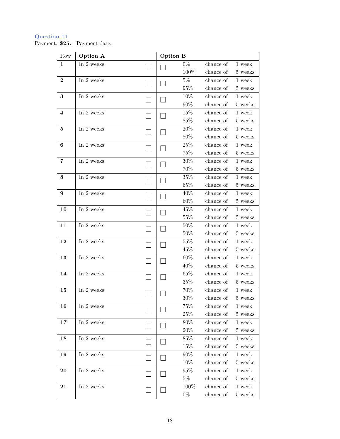#### Question 11 Payment: \$25. Payment date:

| Row                     | Option A   | Option B |            |                        |                   |
|-------------------------|------------|----------|------------|------------------------|-------------------|
| $\mathbf{1}$            | In 2 weeks |          | $0\%$      | chance of              | 1 week            |
|                         |            |          | 100%       | chance of              | 5 weeks           |
| $\mathbf{2}$            | In 2 weeks |          | $5\%$      | chance of              | 1 week            |
|                         |            |          | 95%        | chance of              | 5 weeks           |
| 3                       | In 2 weeks |          | 10%        | chance of              | $1$ week $\,$     |
|                         |            |          | $90\%$     | chance of              | 5 weeks           |
| $\overline{\mathbf{4}}$ | In 2 weeks |          | $15\%$     | chance of              | 1 week            |
|                         |            |          | 85%        | chance of              | 5 weeks           |
| $\bf{5}$                | In 2 weeks |          | $20\%$     | chance of              | 1 week            |
|                         |            |          | 80%        | chance of              | $5\ \rm{weeks}$   |
| 6                       | In 2 weeks |          | 25%        | chance of              | 1 week            |
|                         |            |          | $75\%$     | chance of              | 5 weeks           |
| 7                       | In 2 weeks |          | $30\%$     | chance of              | 1 week            |
|                         |            |          | 70%        | chance of              | 5 weeks           |
| 8                       | In 2 weeks |          | 35%        | chance of              | 1 week            |
|                         |            |          | $65\%$     | chance of              | 5 weeks           |
| 9                       | In 2 weeks |          | 40%        | chance of              | 1 week            |
|                         | In 2 weeks |          | 60%<br>45% | chance of<br>chance of | 5 weeks<br>1 week |
| 10                      |            |          | 55%        | chance of              | 5 weeks           |
| 11                      | In 2 weeks |          | $50\%$     | chance of              | 1 week            |
|                         |            |          | 50%        | chance of              | 5 weeks           |
| 12                      | In 2 weeks |          | 55%        | chance of              | 1 week            |
|                         |            |          | 45%        | chance of              | 5 weeks           |
| 13                      | In 2 weeks |          | 60%        | chance of              | $1$ week $\,$     |
|                         |            |          | 40\%       | chance of              | 5 weeks           |
| 14                      | In 2 weeks |          | $65\%$     | chance of              | 1 week            |
|                         |            |          | 35%        | chance of              | 5 weeks           |
| 15                      | In 2 weeks |          | 70%        | chance of              | 1 week            |
|                         |            |          | $30\%$     | chance of              | 5 weeks           |
| 16                      | In 2 weeks |          | 75%        | chance of              | 1 week            |
|                         |            |          | 25\%       | chance of              | 5 weeks           |
| 17                      | In 2 weeks |          | 80%        | chance of              | 1 week            |
|                         |            |          | $20\%$     | chance of              | 5 weeks           |
| 18                      | In 2 weeks |          | 85%        | chance of              | 1 week            |
|                         |            |          | 15%        | chance of              | 5 weeks           |
| 19                      | In 2 weeks |          | 90%        | chance of              | $1$ week $\,$     |
|                         |            |          | 10%        | chance of              | 5 weeks           |
| 20                      | In 2 weeks |          | 95%        | chance of              | 1 week            |
|                         |            |          | $5\%$      | chance of              | 5 weeks           |
| $\bf{21}$               | In 2 weeks |          | 100%       | chance of              | 1 week            |
|                         |            |          | $0\%$      | chance of              | 5 weeks           |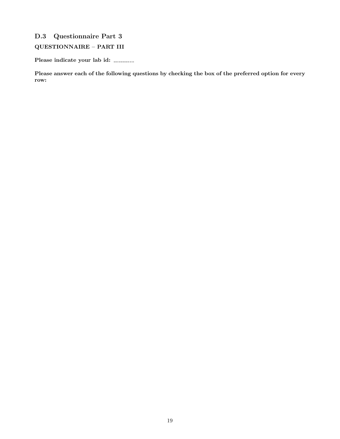## D.3 Questionnaire Part 3

### QUESTIONNAIRE – PART III

Please indicate your lab id:

Please answer each of the following questions by checking the box of the preferred option for every row: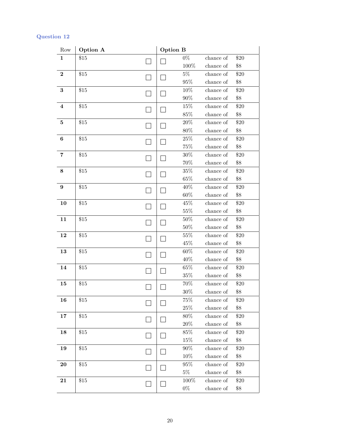| Row                     | Option A |                | Option B      |                        |               |
|-------------------------|----------|----------------|---------------|------------------------|---------------|
| $\mathbf 1$             | \$15     |                | $0\%$         | chance of              | $\$20$        |
|                         |          |                | $100\%$       | chance of              | \$8           |
| $\boldsymbol{2}$        | \$15     |                | $5\%$         | chance of              | \$20          |
|                         |          |                | $95\%$        | chance of              | \$8           |
| $\bf{3}$                | \$15     |                | $10\%$        | chance of              | \$20          |
|                         |          |                | $90\%$        | chance of              | \$8           |
| $\bf{4}$                | \$15     |                | 15%           | chance of              | \$20          |
|                         |          |                | $85\%$        | chance of              | $\$8$         |
| $\bf{5}$                | \$15     |                | $20\%$        | chance of              | \$20          |
|                         |          |                | $80\%$        | chance of              | \$8           |
| $\bf{6}$                | \$15     |                | $25\%$        | chance of              | \$20          |
|                         |          |                | 75%           | chance of              | \$8           |
| $\overline{\mathbf{7}}$ | $\$15$   |                | $30\%$        | chance of              | \$20          |
|                         |          |                | 70%           | chance of              | $\$8$         |
| $\bf 8$                 | \$15     |                | $35\%$        | chance of              | \$20          |
|                         |          |                | $65\%$        | chance of              | \$8           |
| $\boldsymbol{9}$        | \$15     |                | 40%           | chance of              | \$20          |
|                         |          |                | $60\%$        | chance of              | $\$8$         |
| 10                      | \$15     |                | 45%           | chance of              | $\$20$        |
|                         |          | $55\%$         | chance of     | \$8                    |               |
| 11                      | \$15     | $\blacksquare$ | $50\%$        | chance of              | \$20          |
|                         |          |                | $50\%$        | chance of              | $\$8$         |
| 12                      | \$15     |                | 55%<br>$45\%$ | chance of<br>chance of | $\$20$<br>\$8 |
| 13                      | \$15     |                | $60\%$        | chance of              | \$20          |
|                         |          |                | 40%           | chance of              | \$8           |
| 14                      | \$15     |                | $65\%$        | chance of              | \$20          |
|                         |          |                | $35\%$        | chance of              | $\$8$         |
| 15                      | \$15     |                | 70%           | chance of              | $\$20$        |
|                         |          |                | $30\%$        | chance of              | $\$8$         |
| 16                      | \$15     |                | $75\%$        | chance of              | \$20          |
|                         |          |                | $25\%$        | chance of              | $\$8$         |
| 17                      | \$15     |                | 80%           | chance of              | \$20          |
|                         |          |                | $20\%$        | chance of              | \$8           |
| 18                      | \$15     |                | $85\%$        | chance of              | \$20          |
|                         |          |                | 15%           | chance of              | $\$8$         |
| 19                      | \$15     |                | $90\%$        | chance of              | \$20          |
|                         |          |                | $10\%$        | chance of              | $\$8$         |
| 20                      | \$15     |                | $95\%$        | chance of              | \$20          |
|                         |          |                | $5\%$         | chance of              | \$8           |
| 21                      | \$15     |                | $100\%$       | chance of              | \$20          |
|                         |          |                | $0\%$         | chance of              | $\$8$         |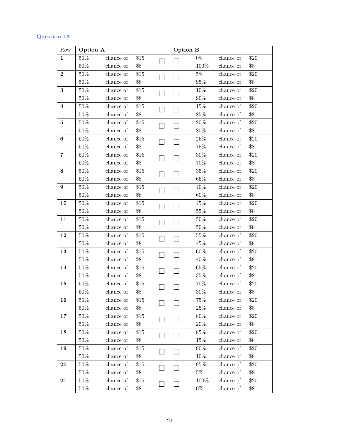| Row                     | Option A |           |        | <b>Option B</b> |        |           |        |
|-------------------------|----------|-----------|--------|-----------------|--------|-----------|--------|
| $\mathbf{1}$            | $50\%$   | chance of | \$15   |                 | $0\%$  | chance of | \$20   |
|                         | $50\%$   | chance of | \$8    |                 | 100%   | chance of | \$8    |
| $\boldsymbol{2}$        | $50\%$   | chance of | \$15   |                 | $5\%$  | chance of | \$20   |
|                         | $50\%$   | chance of | \$8    |                 | $95\%$ | chance of | \$8    |
| $\bf 3$                 | $50\%$   | chance of | \$15   |                 | $10\%$ | chance of | \$20   |
|                         | $50\%$   | chance of | $\$8$  |                 | $90\%$ | chance of | $\$8$  |
| $\overline{\mathbf{4}}$ | $50\%$   | chance of | \$15   |                 | 15%    | chance of | \$20   |
|                         | $50\%$   | chance of | \$8    |                 | $85\%$ | chance of | $\$8$  |
| $\bf{5}$                | $50\%$   | chance of | \$15   |                 | $20\%$ | chance of | \$20   |
|                         | $50\%$   | chance of | \$8    |                 | $80\%$ | chance of | $\$8$  |
| $\bf 6$                 | $50\%$   | chance of | \$15   |                 | $25\%$ | chance of | \$20   |
|                         | $50\%$   | chance of | $\$8$  |                 | 75%    | chance of | \$8    |
| 7                       | $50\%$   | chance of | \$15   |                 | $30\%$ | chance of | \$20   |
|                         | $50\%$   | chance of | \$8    |                 | 70%    | chance of | \$8    |
| $\bf 8$                 | $50\%$   | chance of | \$15   |                 | $35\%$ | chance of | \$20   |
|                         | $50\%$   | chance of | \$8    |                 | $65\%$ | chance of | \$8    |
| 9                       | $50\%$   | chance of | \$15   |                 | 40%    | chance of | \$20   |
|                         | $50\%$   | chance of | $\$8$  |                 | $60\%$ | chance of | \$8    |
| 10                      | $50\%$   | chance of | \$15   |                 | 45%    | chance of | $\$20$ |
|                         | $50\%$   | chance of | \$8    |                 | $55\%$ | chance of | $\$8$  |
| 11                      | $50\%$   | chance of | \$15   |                 | $50\%$ | chance of | \$20   |
|                         | $50\%$   | chance of | \$8    |                 | $50\%$ | chance of | \$8    |
| 12                      | $50\%$   | chance of | \$15   |                 | $55\%$ | chance of | \$20   |
|                         | $50\%$   | chance of | \$8    |                 | 45%    | chance of | \$8    |
| 13                      | $50\%$   | chance of | \$15   |                 | $60\%$ | chance of | \$20   |
|                         | $50\%$   | chance of | \$8    |                 | 40%    | chance of | \$8    |
| 14                      | $50\%$   | chance of | \$15   |                 | $65\%$ | chance of | $\$20$ |
|                         | $50\%$   | chance of | \$8    |                 | $35\%$ | chance of | \$8    |
| 15                      | $50\%$   | chance of | \$15   |                 | 70%    | chance of | \$20   |
|                         | $50\%$   | chance of | \$8    |                 | $30\%$ | chance of | $\$8$  |
| 16                      | 50%      | chance of | \$15   |                 | 75%    | chance of | \$20   |
|                         | $50\%$   | chance of | $\$8$  |                 | $25\%$ | chance of | $\$8$  |
| 17                      | $50\%$   | chance of | \$15   |                 | 80%    | chance of | \$20   |
|                         | 50%      | chance of | \$8    |                 | $20\%$ | chance of | $\$8$  |
| 18                      | 50%      | chance of | \$15   |                 | 85%    | chance of | \$20   |
|                         | $50\%$   | chance of | $\$8$  |                 | 15%    | chance of | $\$8$  |
| 19                      | 50%      | chance of | \$15   |                 | $90\%$ | chance of | \$20   |
|                         | 50%      | chance of | \$8    |                 | 10%    | chance of | $\$8$  |
| 20                      | $50\%$   | chance of | \$15   |                 | $95\%$ | chance of | \$20   |
|                         | 50%      | chance of | \$8    |                 | $5\%$  | chance of | \$8    |
| 21                      | $50\%$   | chance of | $\$15$ |                 | 100%   | chance of | \$20   |
|                         | 50%      | chance of | \$8    |                 | $0\%$  | chance of | \$8    |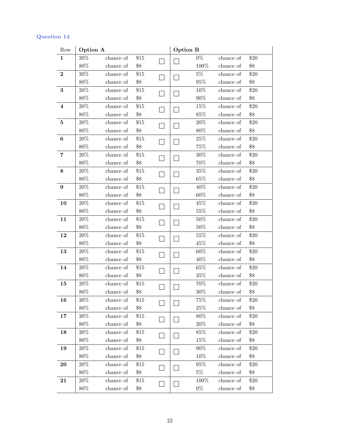| Row                     | Option A |                     |        | <b>Option B</b> |         |           |       |
|-------------------------|----------|---------------------|--------|-----------------|---------|-----------|-------|
| $\mathbf{1}$            | $20\%$   | chance of           | \$15   |                 | $0\%$   | chance of | \$20  |
|                         | $80\%$   | chance of           | \$8    |                 | $100\%$ | chance of | \$8   |
| $\bf{2}$                | $20\%$   | chance of           | \$15   |                 | $5\%$   | chance of | \$20  |
|                         | $80\%$   | chance of           | \$8    |                 | $95\%$  | chance of | \$8   |
| $\bf{3}$                | $20\%$   | chance of           | $\$15$ |                 | $10\%$  | chance of | \$20  |
|                         | $80\%$   | chance of           | $\$8$  |                 | $90\%$  | chance of | $\$8$ |
| $\overline{\mathbf{4}}$ | $20\%$   | chance of           | \$15   |                 | 15%     | chance of | \$20  |
|                         | $80\%$   | chance of           | \$8    |                 | 85%     | chance of | $\$8$ |
| $\bf{5}$                | $20\%$   | chance of           | \$15   |                 | $20\%$  | chance of | \$20  |
|                         | $80\%$   | chance of           | \$8    |                 | $80\%$  | chance of | $\$8$ |
| $\boldsymbol{6}$        | $20\%$   | chance of           | \$15   |                 | $25\%$  | chance of | \$20  |
|                         | $80\%$   | chance of           | $\$8$  |                 | 75%     | chance of | $\$8$ |
| 7                       | $20\%$   | chance of           | \$15   |                 | 30%     | chance of | \$20  |
|                         | $80\%$   | chance of           | \$8    |                 | 70%     | chance of | \$8   |
| $\bf 8$                 | $20\%$   | chance of           | \$15   |                 | $35\%$  | chance of | \$20  |
|                         | $80\%$   | chance of           | $\$8$  |                 | $65\%$  | chance of | $\$8$ |
| 9                       | $20\%$   | chance of           | \$15   |                 | 40%     | chance of | \$20  |
|                         | $80\%$   | chance of           | $\$8$  |                 | $60\%$  | chance of | \$8   |
| 10                      | $20\%$   | chance of           | $\$15$ |                 | 45%     | chance of | \$20  |
|                         | $80\%$   | chance of           | \$8    |                 | $55\%$  | chance of | $\$8$ |
| 11                      | 20%      | chance of           | \$15   |                 | $50\%$  | chance of | \$20  |
|                         | $80\%$   | chance of           | \$8    |                 | $50\%$  | chance of | \$8   |
| 12                      | $20\%$   | chance of           | \$15   |                 | $55\%$  | chance of | \$20  |
|                         | $80\%$   | chance of           | \$8    |                 | 45%     | chance of | $\$8$ |
| 13                      | $20\%$   | chance of           | \$15   |                 | $60\%$  | chance of | \$20  |
|                         | $80\%$   | chance of           | $\$8$  |                 | 40%     | chance of | $\$8$ |
| 14                      | $20\%$   | chance of           | \$15   |                 | $65\%$  | chance of | \$20  |
|                         | $80\%$   | chance of           | \$8    |                 | $35\%$  | chance of | \$8   |
| 15                      | $20\%$   | chance of           | $\$15$ |                 | 70%     | chance of | \$20  |
|                         | $80\%$   | chance of           | \$8    |                 | $30\%$  | chance of | $\$8$ |
| 16                      | $20\%$   | chance of           | \$15   |                 | 75%     | chance of | \$20  |
|                         | 80%      | chance of           | \$8    |                 | $25\%$  | chance of | $\$8$ |
| 17                      | 20%      | chance of           | \$15   |                 | 80%     | chance of | \$20  |
|                         | 80%      | chance of           | \$8    |                 | 20%     | chance of | \$8   |
| 18                      | $20\%$   | chance of           | \$15   |                 | 85%     | chance of | \$20  |
|                         | $80\%$   | $\,$ chance of $\,$ | \$8    |                 | 15%     | chance of | $\$8$ |
| 19                      | $20\%$   | chance of           | \$15   |                 | $90\%$  | chance of | \$20  |
|                         | 80%      | chance of           | \$8    |                 | 10%     | chance of | \$8   |
| 20                      | $20\%$   | chance of           | \$15   |                 | $95\%$  | chance of | \$20  |
|                         | 80%      | chance of           | \$8    |                 | $5\%$   | chance of | $\$8$ |
| 21                      | $20\%$   | chance of           | \$15   |                 | 100%    | chance of | \$20  |
|                         | 80%      | chance of           | \$8    |                 | $0\%$   | chance of | \$8   |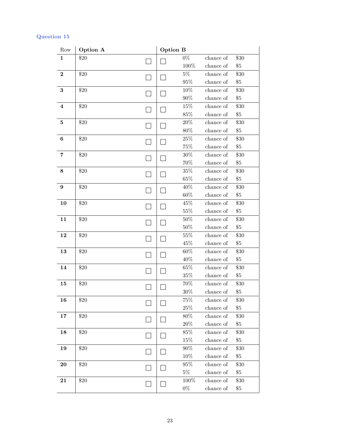| Row              | Option A |                | Option B |               |                        |               |
|------------------|----------|----------------|----------|---------------|------------------------|---------------|
| $\mathbf 1$      | \$20     |                |          | $0\%$         | chance of              | \$30          |
|                  |          |                |          | 100%          | chance of              | $\$5$         |
| $\boldsymbol{2}$ | \$20     |                |          | $5\%$         | chance of              | \$30          |
|                  |          |                |          | $95\%$        | chance of              | $\$5$         |
| $\bf{3}$         | \$20     |                |          | $10\%$        | chance of              | \$30          |
|                  |          |                | $90\%$   | chance of     | $\$5$                  |               |
| $\bf{4}$         | \$20     |                |          | $15\%$        | chance of              | \$30          |
|                  |          |                |          | $85\%$        | chance of              | \$5           |
| $\bf{5}$         | \$20     |                |          | $20\%$        | chance of              | \$30          |
|                  |          |                |          | $80\%$        | chance of              | $\$5$         |
| $\bf{6}$         | \$20     |                |          | $25\%$        | chance of              | \$30          |
|                  |          |                |          | $75\%$        | chance of              | $\$5$         |
| 7                | \$20     |                |          | $30\%$        | chance of              | \$30          |
|                  |          |                |          | 70%           | chance of              | \$5           |
| $\bf 8$          | \$20     |                |          | $35\%$        | chance of              | \$30          |
|                  |          |                |          | $65\%$        | chance of              | $\$5$         |
| $\boldsymbol{9}$ | \$20     |                |          | 40%           | chance of              | \$30          |
|                  |          |                |          | $60\%$        | chance of              | $\$5$         |
| 10               | \$20     |                |          | 45%           | chance of              | \$30          |
|                  |          |                |          | $55\%$        | chance of              | $\$5$         |
| 11               | \$20     | $\blacksquare$ |          | $50\%$        | chance of              | \$30          |
|                  |          |                |          | $50\%$        | chance of              | $\$5$         |
| 12               | \$20     |                |          | 55%           | chance of              | \$30          |
|                  |          |                |          | 45%           | chance of              | $\$5$         |
| 13               | \$20     |                |          | $60\%$        | chance of              | \$30          |
|                  |          |                |          | 40%           | chance of              | $\$5$         |
| 14               | \$20     |                |          | $65\%$        | chance of              | \$30          |
|                  |          |                |          | $35\%$        | chance of              | $\$5$         |
| 15               | \$20     |                |          | 70%           | chance of              | \$30          |
|                  |          |                |          | $30\%$        | chance of              | $\$5$         |
| 16               | \$20     |                |          | 75%<br>$25\%$ | chance of<br>chance of | \$30<br>$\$5$ |
| 17               | \$20     |                |          | $80\%$        | chance of              | \$30          |
|                  |          |                |          | $20\%$        | chance of              | $\$5$         |
| 18               | \$20     |                |          | 85\%          | chance of              | \$30          |
|                  |          |                |          | 15%           | chance of              | $\$5$         |
| 19               | \$20     |                |          | $90\%$        | chance of              | \$30          |
|                  |          |                |          | $10\%$        | chance of              | $\$5$         |
| 20               | \$20     |                |          | $95\%$        | chance of              | \$30          |
|                  |          |                | $5\%$    | chance of     | $\$5$                  |               |
| 21               | \$20     |                |          | 100%          | chance of              | \$30          |
|                  |          |                |          | $0\%$         | chance of              | $\$5$         |
|                  |          |                |          |               |                        |               |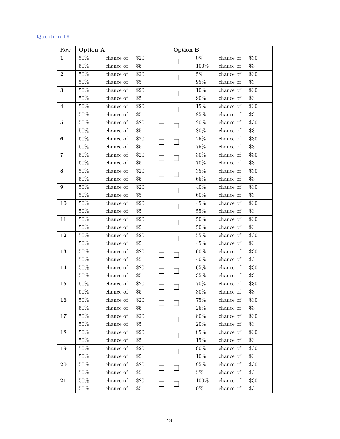| Row                     | Option A |                     |        | Option B |         |           |       |
|-------------------------|----------|---------------------|--------|----------|---------|-----------|-------|
| $\mathbf{1}$            | $50\%$   | chance of           | \$20   |          | $0\%$   | chance of | \$30  |
|                         | $50\%$   | chance of           | $\$5$  |          | 100%    | chance of | $\$3$ |
| $\bf{2}$                | $50\%$   | chance of           | \$20   |          | $5\%$   | chance of | \$30  |
|                         | $50\%$   | chance of           | $\$5$  |          | $95\%$  | chance of | \$3   |
| $\bf{3}$                | $50\%$   | chance of           | \$20   |          | $10\%$  | chance of | \$30  |
|                         | $50\%$   | chance of           | $\$5$  |          | $90\%$  | chance of | $\$3$ |
| $\overline{\mathbf{4}}$ | $50\%$   | chance of           | \$20   |          | 15%     | chance of | \$30  |
|                         | $50\%$   | chance of           | \$5    |          | $85\%$  | chance of | $\$3$ |
| $\bf{5}$                | $50\%$   | chance of           | $\$20$ |          | $20\%$  | chance of | \$30  |
|                         | $50\%$   | chance of           | $\$5$  |          | $80\%$  | chance of | \$3   |
| $\boldsymbol{6}$        | $50\%$   | chance of           | \$20   |          | $25\%$  | chance of | \$30  |
|                         | $50\%$   | chance of           | $\$5$  |          | 75%     | chance of | $\$3$ |
| 7                       | $50\%$   | chance of           | $\$20$ |          | $30\%$  | chance of | \$30  |
|                         | $50\%$   | chance of           | \$5    |          | 70%     | chance of | \$3   |
| $\bf 8$                 | $50\%$   | chance of           | \$20   |          | $35\%$  | chance of | \$30  |
|                         | $50\%$   | chance of           | $\$5$  |          | $65\%$  | chance of | $\$3$ |
| 9                       | $50\%$   | chance of           | \$20   |          | 40%     | chance of | \$30  |
|                         | $50\%$   | chance of           | \$5    |          | $60\%$  | chance of | \$3   |
| 10                      | $50\%$   | chance of           | $\$20$ |          | 45%     | chance of | \$30  |
|                         | $50\%$   | chance of           | $\$5$  |          | $55\%$  | chance of | $\$3$ |
| 11                      | $50\%$   | chance of           | \$20   |          | $50\%$  | chance of | \$30  |
|                         | $50\%$   | chance of           | \$5    |          | $50\%$  | chance of | \$3   |
| 12                      | $50\%$   | chance of           | $\$20$ |          | $55\%$  | chance of | \$30  |
|                         | $50\%$   | chance of           | $\$5$  |          | 45%     | chance of | \$3   |
| 13                      | $50\%$   | chance of           | \$20   |          | $60\%$  | chance of | \$30  |
|                         | $50\%$   | chance of           | $\$5$  |          | 40%     | chance of | \$3   |
| 14                      | $50\%$   | chance of           | $\$20$ |          | $65\%$  | chance of | \$30  |
|                         | $50\%$   | chance of           | \$5    |          | $35\%$  | chance of | $\$3$ |
| 15                      | $50\%$   | chance of           | \$20   |          | $70\%$  | chance of | \$30  |
|                         | $50\%$   | chance of           | \$5    |          | $30\%$  | chance of | \$3   |
| 16                      | $50\%$   | chance of           | \$20   |          | 75%     | chance of | \$30  |
|                         | $50\%$   | chance of           | $\$5$  |          | $25\%$  | chance of | $\$3$ |
| 17                      | 50%      | chance of           | \$20   |          | $80\%$  | chance of | \$30  |
|                         | 50%      | chance of           | $\$5$  |          | $20\%$  | chance of | $\$3$ |
| 18                      | 50%      | chance of           | \$20   |          | 85%     | chance of | \$30  |
|                         | $50\%$   | $\,$ chance of $\,$ | $\$5$  |          | $15\%$  | chance of | $\$3$ |
| 19                      | 50%      | chance of           | \$20   |          | $90\%$  | chance of | \$30  |
|                         | $50\%$   | chance of           | $\$5$  |          | $10\%$  | chance of | $\$3$ |
| 20                      | $50\%$   | chance of           | \$20   |          | $95\%$  | chance of | \$30  |
|                         | 50%      | chance of           | $\$5$  |          | $5\%$   | chance of | $\$3$ |
| 21                      | $50\%$   | chance of           | \$20   |          | $100\%$ | chance of | \$30  |
|                         | 50%      | chance of           | $\$5$  |          | $0\%$   | chance of | $\$3$ |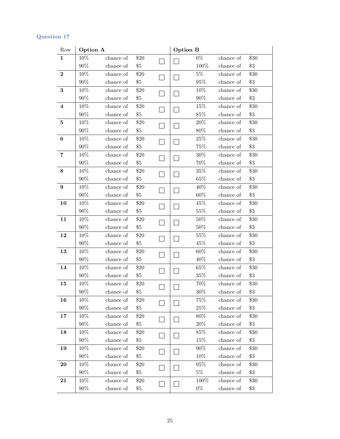| Row                     | Option A |           |        | <b>Option B</b> |        |                     |        |
|-------------------------|----------|-----------|--------|-----------------|--------|---------------------|--------|
| $\mathbf 1$             | 10%      | chance of | \$20   |                 | $0\%$  | chance of           | \$30   |
|                         | $90\%$   | chance of | $\$5$  |                 | 100%   | chance of           | $\$3$  |
| $\bf{2}$                | 10%      | chance of | \$20   |                 | $5\%$  | chance of           | \$30   |
|                         | $90\%$   | chance of | $\$5$  |                 | $95\%$ | chance of           | $\$3$  |
| $\bf{3}$                | $10\%$   | chance of | \$20   |                 | $10\%$ | chance of           | \$30   |
|                         | $90\%$   | chance of | $\$5$  |                 | $90\%$ | chance of           | $\$3$  |
| $\overline{\mathbf{4}}$ | $10\%$   | chance of | \$20   |                 | 15%    | chance of           | \$30   |
|                         | $90\%$   | chance of | $\$5$  |                 | $85\%$ | chance of           | $\$3$  |
| $\bf{5}$                | $10\%$   | chance of | \$20   |                 | $20\%$ | chance of           | \$30   |
|                         | $90\%$   | chance of | \$5    |                 | $80\%$ | chance of           | $\$3$  |
| $\bf{6}$                | 10%      | chance of | \$20   |                 | $25\%$ | chance of           | \$30   |
|                         | $90\%$   | chance of | $\$5$  |                 | 75%    | chance of           | $\$3$  |
| $\overline{\mathbf{7}}$ | $10\%$   | chance of | $\$20$ |                 | $30\%$ | $\,$ chance of $\,$ | \$30   |
|                         | $90\%$   | chance of | \$5    |                 | $70\%$ | chance of           | \$3    |
| $\bf 8$                 | $10\%$   | chance of | $\$20$ |                 | $35\%$ | chance of           | \$30   |
|                         | $90\%$   | chance of | $\$5$  |                 | $65\%$ | chance of           | $\$3$  |
| $\boldsymbol{9}$        | 10%      | chance of | \$20   |                 | 40%    | chance of           | \$30   |
|                         | $90\%$   | chance of | \$5    |                 | $60\%$ | chance of           | $\$3$  |
| 10                      | $10\%$   | chance of | \$20   |                 | 45%    | chance of           | \$30   |
|                         | $90\%$   | chance of | $\$5$  |                 | $55\%$ | chance of           | $\$3$  |
| 11                      | $10\%$   | chance of | \$20   |                 | $50\%$ | chance of           | \$30   |
|                         | $90\%$   | chance of | $\$5$  |                 | $50\%$ | chance of           | $\$3$  |
| 12                      | 10%      | chance of | $\$20$ |                 | $55\%$ | chance of           | \$30   |
|                         | $90\%$   | chance of | $\$5$  |                 | 45%    | chance of           | $\$3$  |
| 13                      | 10%      | chance of | $\$20$ |                 | $60\%$ | chance of           | \$30   |
|                         | $90\%$   | chance of | $\$5$  |                 | 40%    | chance of           | $\$3$  |
| 14                      | 10%      | chance of | $\$20$ |                 | $65\%$ | chance of           | \$30   |
|                         | $90\%$   | chance of | \$5    |                 | $35\%$ | chance of           | \$3    |
| 15                      | 10%      | chance of | $\$20$ |                 | $70\%$ | chance of           | \$30   |
|                         | $90\%$   | chance of | \$5    |                 | $30\%$ | chance of           | $\$3$  |
| 16                      | 10%      | chance of | \$20   |                 | 75%    | chance of           | \$30   |
|                         | $90\%$   | chance of | $\$5$  |                 | $25\%$ | chance of           | $\$3$  |
| 17                      | $10\%$   | chance of | \$20   |                 | $80\%$ | chance of           | $\$30$ |
|                         | $90\%$   | chance of | $\$5$  |                 | $20\%$ | chance of           | $\$3$  |
| 18                      | 10%      | chance of | \$20   |                 | 85%    | chance of           | \$30   |
|                         | $90\%$   | chance of | $\$5$  |                 | 15%    | chance of           | $\$3$  |
| 19                      | 10%      | chance of | \$20   |                 | $90\%$ | chance of           | \$30   |
|                         | $90\%$   | chance of | $\$5$  |                 | 10%    | chance of           | $\$3$  |
| 20                      | 10%      | chance of | \$20   |                 | 95%    | chance of           | \$30   |
|                         | $90\%$   | chance of | $\$5$  |                 | $5\%$  | chance of           | $\$3$  |
| 21                      | 10%      | chance of | \$20   |                 | 100%   | chance of           | \$30   |
|                         | $90\%$   | chance of | $\$5$  |                 | $0\%$  | chance of           | $\$3$  |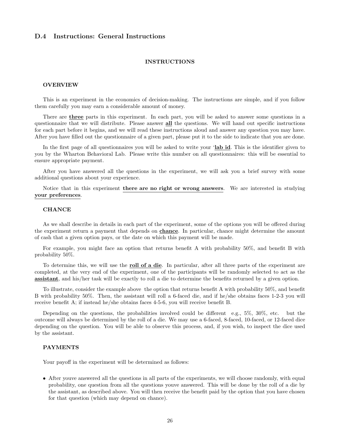#### D.4 Instructions: General Instructions

#### INSTRUCTIONS

#### OVERVIEW

This is an experiment in the economics of decision-making. The instructions are simple, and if you follow them carefully you may earn a considerable amount of money.

There are three parts in this experiment. In each part, you will be asked to answer some questions in a questionnaire that we will distribute. Please answer all the questions. We will hand out specific instructions for each part before it begins, and we will read these instructions aloud and answer any question you may have. After you have filled out the questionnaire of a given part, please put it to the side to indicate that you are done.

In the first page of all questionnaires you will be asked to write your 'lab id. This is the identifier given to you by the Wharton Behavioral Lab. Please write this number on all questionnaires: this will be essential to ensure appropriate payment.

After you have answered all the questions in the experiment, we will ask you a brief survey with some additional questions about your experience.

Notice that in this experiment **there are no right or wrong answers**. We are interested in studying your preferences.

#### **CHANCE**

As we shall describe in details in each part of the experiment, some of the options you will be offered during the experiment return a payment that depends on chance. In particular, chance might determine the amount of cash that a given option pays, or the date on which this payment will be made.

For example, you might face an option that returns benefit A with probability 50%, and benefit B with probability 50%.

To determine this, we will use the **roll of a die**. In particular, after all three parts of the experiment are completed, at the very end of the experiment, one of the participants will be randomly selected to act as the assistant, and his/her task will be exactly to roll a die to determine the benefits returned by a given option.

To illustrate, consider the example above the option that returns benefit A with probability 50%, and benefit B with probability 50%. Then, the assistant will roll a 6-faced die, and if he/she obtains faces 1-2-3 you will receive benefit A; if instead he/she obtains faces 4-5-6, you will receive benefit B.

Depending on the questions, the probabilities involved could be different e.g., 5%, 30%, etc. but the outcome will always be determined by the roll of a die. We may use a 6-faced, 8-faced, 10-faced, or 12-faced dice depending on the question. You will be able to observe this process, and, if you wish, to inspect the dice used by the assistant.

#### PAYMENTS

Your payoff in the experiment will be determined as follows:

• After youve answered all the questions in all parts of the experiments, we will choose randomly, with equal probability, one question from all the questions youve answered. This will be done by the roll of a die by the assistant, as described above. You will then receive the benefit paid by the option that you have chosen for that question (which may depend on chance).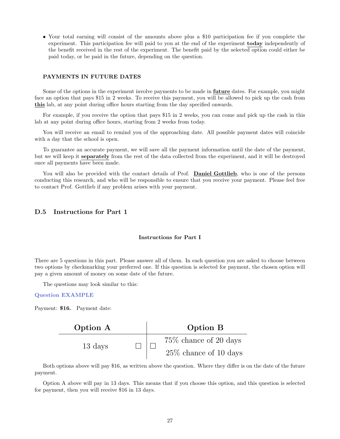• Your total earning will consist of the amounts above plus a \$10 participation fee if you complete the experiment. This participation fee will paid to you at the end of the experiment **today** independently of the benefit received in the rest of the experiment. The benefit paid by the selected option could either be paid today, or be paid in the future, depending on the question.

#### PAYMENTS IN FUTURE DATES

Some of the options in the experiment involve payments to be made in **future** dates. For example, you might face an option that pays \$15 in 2 weeks. To receive this payment, you will be allowed to pick up the cash from this lab, at any point during office hours starting from the day specified onwards.

For example, if you receive the option that pays \$15 in 2 weeks, you can come and pick up the cash in this lab at any point during office hours, starting from 2 weeks from today.

You will receive an email to remind you of the approaching date. All possible payment dates will coincide with a day that the school is open.

To guarantee an accurate payment, we will save all the payment information until the date of the payment, but we will keep it separately from the rest of the data collected from the experiment, and it will be destroyed once all payments have been made.

You will also be provided with the contact details of Prof. Daniel Gottlieb, who is one of the persons conducting this research, and who will be responsible to ensure that you receive your payment. Please feel free to contact Prof. Gottlieb if any problem arises with your payment.

#### D.5 Instructions for Part 1

#### Instructions for Part I

There are 5 questions in this part. Please answer all of them. In each question you are asked to choose between two options by checkmarking your preferred one. If this question is selected for payment, the chosen option will pay a given amount of money on some date of the future.

The questions may look similar to this:

#### Question EXAMPLE

Payment: \$16. Payment date:

| Option A | Option B                 |  |  |  |
|----------|--------------------------|--|--|--|
| 13 days  | $75\%$ chance of 20 days |  |  |  |
|          | $25\%$ chance of 10 days |  |  |  |

Both options above will pay \$16, as written above the question. Where they differ is on the date of the future payment.

Option A above will pay in 13 days. This means that if you choose this option, and this question is selected for payment, then you will receive \$16 in 13 days.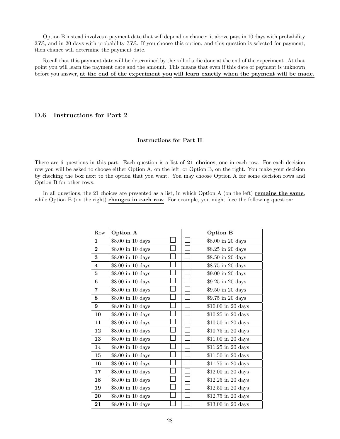Option B instead involves a payment date that will depend on chance: it above pays in 10 days with probability 25%, and in 20 days with probability 75%. If you choose this option, and this question is selected for payment, then chance will determine the payment date.

Recall that this payment date will be determined by the roll of a die done at the end of the experiment. At that point you will learn the payment date and the amount. This means that even if this date of payment is unknown before you answer, at the end of the experiment you will learn exactly when the payment will be made.

#### D.6 Instructions for Part 2

#### Instructions for Part II

There are 6 questions in this part. Each question is a list of 21 choices, one in each row. For each decision row you will be asked to choose either Option A, on the left, or Option B, on the right. You make your decision by checking the box next to the option that you want. You may choose Option A for some decision rows and Option B for other rows.

In all questions, the 21 choices are presented as a list, in which Option A (on the left) remains the same, while Option B (on the right) changes in each row. For example, you might face the following question:

| Row                     | Option A          |  | <b>Option B</b>     |
|-------------------------|-------------------|--|---------------------|
| $\mathbf{1}$            | \$8.00 in 10 days |  | \$8.00 in 20 days   |
| $\bf{2}$                | \$8.00 in 10 days |  | \$8.25 in 20 days   |
| 3                       | \$8.00 in 10 days |  | \$8.50 in 20 days   |
| $\overline{\mathbf{4}}$ | \$8.00 in 10 days |  | \$8.75 in 20 days   |
| 5                       | \$8.00 in 10 days |  | \$9.00 in 20 days   |
| $\bf 6$                 | \$8.00 in 10 days |  | \$9.25 in 20 days   |
| 7                       | \$8.00 in 10 days |  | \$9.50 in 20 days   |
| 8                       | \$8.00 in 10 days |  | \$9.75 in 20 days   |
| $9\phantom{.}$          | \$8.00 in 10 days |  | \$10.00 in 20 days  |
| 10                      | \$8.00 in 10 days |  | $$10.25$ in 20 days |
| 11                      | \$8.00 in 10 days |  | \$10.50 in 20 days  |
| 12                      | \$8.00 in 10 days |  | $$10.75$ in 20 days |
| 13                      | \$8.00 in 10 days |  | \$11.00 in 20 days  |
| 14                      | \$8.00 in 10 days |  | $$11.25$ in 20 days |
| 15                      | \$8.00 in 10 days |  | \$11.50 in 20 days  |
| 16                      | \$8.00 in 10 days |  | $$11.75$ in 20 days |
| 17                      | \$8.00 in 10 days |  | \$12.00 in 20 days  |
| 18                      | \$8.00 in 10 days |  | \$12.25 in 20 days  |
| 19                      | \$8.00 in 10 days |  | $$12.50$ in 20 days |
| 20                      | \$8.00 in 10 days |  | $$12.75$ in 20 days |
| 21                      | \$8.00 in 10 days |  | \$13.00 in 20 days  |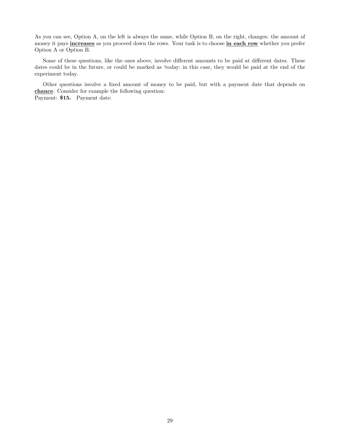As you can see, Option A, on the left is always the same, while Option B, on the right, changes: the amount of money it pays increases as you proceed down the rows. Your task is to choose in each row whether you prefer Option A or Option B.

Some of these questions, like the ones above, involve different amounts to be paid at different dates. These dates could be in the future, or could be marked as 'today: in this case, they would be paid at the end of the experiment today.

Other questions involve a fixed amount of money to be paid, but with a payment date that depends on chance. Consider for example the following question: Payment: \$15. Payment date: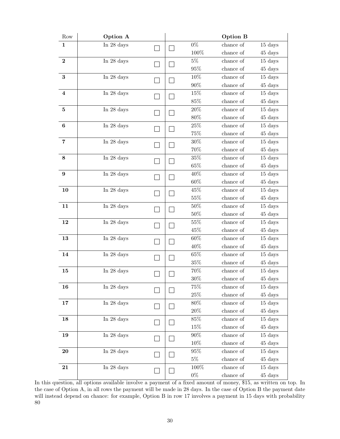| Row            | Option A           |  |  |         | <b>Option B</b> |         |
|----------------|--------------------|--|--|---------|-----------------|---------|
| $\mathbf 1$    | In 28 days         |  |  | $0\%$   | chance of       | 15 days |
|                |                    |  |  | 100%    | chance of       | 45 days |
| $\bf 2$        | In 28 days         |  |  | $5\%$   | chance of       | 15 days |
|                |                    |  |  | $95\%$  | chance of       | 45 days |
| $\bf{3}$       | In 28 days         |  |  | 10%     | chance of       | 15 days |
|                |                    |  |  | $90\%$  | chance of       | 45 days |
| $\bf{4}$       | In $28~{\rm days}$ |  |  | 15%     | chance of       | 15 days |
|                |                    |  |  | $85\%$  | chance of       | 45 days |
| $\bf 5$        | In 28 days         |  |  | 20%     | chance of       | 15 days |
|                |                    |  |  | $80\%$  | chance of       | 45 days |
| $\bf 6$        | In 28 days         |  |  | $25\%$  | chance of       | 15 days |
|                |                    |  |  | 75%     | chance of       | 45 days |
| $\overline{7}$ | In 28 days         |  |  | $30\%$  | chance of       | 15 days |
|                |                    |  |  | 70%     | chance of       | 45 days |
| 8              | In 28 days         |  |  | 35%     | chance of       | 15 days |
|                |                    |  |  | 65%     | chance of       | 45 days |
| 9              | In 28 days         |  |  | 40%     | chance of       | 15 days |
|                |                    |  |  | 60%     | chance of       | 45 days |
| 10             | In 28 days         |  |  | 45%     | chance of       | 15 days |
|                |                    |  |  | $55\%$  | chance of       | 45 days |
| 11             | In 28 days         |  |  | $50\%$  | chance of       | 15 days |
|                |                    |  |  | $50\%$  | chance of       | 45 days |
| 12             | In 28 days         |  |  | 55%     | chance of       | 15 days |
|                |                    |  |  | 45%     | chance of       | 45 days |
| 13             | In 28 days         |  |  | 60%     | chance of       | 15 days |
|                |                    |  |  | 40%     | chance of       | 45 days |
| 14             | In 28 days         |  |  | $65\%$  | chance of       | 15 days |
|                |                    |  |  | $35\%$  | chance of       | 45 days |
| 15             | In 28 days         |  |  | 70%     | chance of       | 15 days |
|                |                    |  |  | $30\%$  | chance of       | 45 days |
| 16             | In 28 days         |  |  | $75\%$  | chance of       | 15 days |
|                |                    |  |  | $25\%$  | chance of       | 45 days |
| 17             | In 28 days         |  |  | $80\%$  | chance of       | 15 days |
|                |                    |  |  | $20\%$  | chance of       | 45 days |
| 18             | In 28 days         |  |  | 85%     | chance of       | 15 days |
|                |                    |  |  | 15%     | chance of       | 45 days |
| 19             | In 28 days         |  |  | $90\%$  | chance of       | 15 days |
|                |                    |  |  | 10%     | chance of       | 45 days |
| 20             | In $28~\rm{days}$  |  |  | $95\%$  | chance of       | 15 days |
|                |                    |  |  | $5\%$   | chance of       | 45 days |
| 21             | In 28 days         |  |  | $100\%$ | chance of       | 15 days |
|                |                    |  |  | $0\%$   | chance of       | 45 days |

In this question, all options available involve a payment of a fixed amount of money, \$15, as written on top. In the case of Option A, in all rows the payment will be made in 28 days. In the case of Option B the payment date will instead depend on chance: for example, Option B in row 17 involves a payment in 15 days with probability 80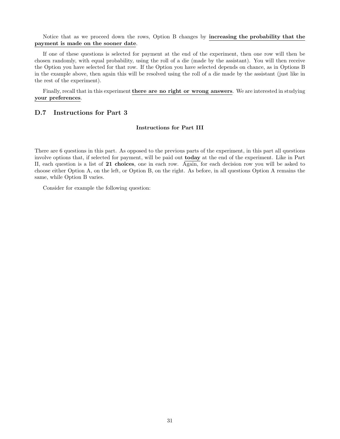#### Notice that as we proceed down the rows, Option B changes by increasing the probability that the payment is made on the sooner date.

If one of these questions is selected for payment at the end of the experiment, then one row will then be chosen randomly, with equal probability, using the roll of a die (made by the assistant). You will then receive the Option you have selected for that row. If the Option you have selected depends on chance, as in Options B in the example above, then again this will be resolved using the roll of a die made by the assistant (just like in the rest of the experiment).

Finally, recall that in this experiment there are no right or wrong answers. We are interested in studying your preferences.

#### D.7 Instructions for Part 3

#### Instructions for Part III

There are 6 questions in this part. As opposed to the previous parts of the experiment, in this part all questions involve options that, if selected for payment, will be paid out today at the end of the experiment. Like in Part II, each question is a list of 21 choices, one in each row. Again, for each decision row you will be asked to choose either Option A, on the left, or Option B, on the right. As before, in all questions Option A remains the same, while Option B varies.

Consider for example the following question: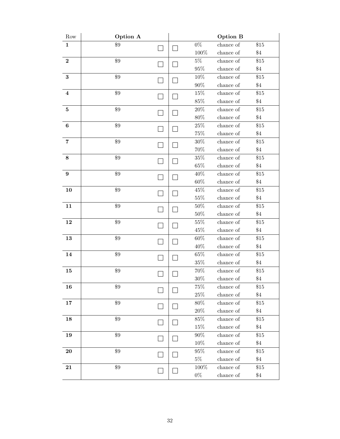| $0\%$<br>\$9<br>$\$15$<br>$\mathbf{1}$<br>chance of<br>100%<br>chance of<br>$\$4$<br>$\$9$<br>$5\%$<br>$\overline{2}$<br>chance of<br>\$15<br>$95\%$<br>$\$4$<br>chance of<br>\$9<br>$\bf 3$<br>$10\%$<br>$\$15$<br>chance of<br>$90\%$<br>chance of<br>$\$4$<br>\$9<br>15%<br>chance of<br>\$15<br>$\bf{4}$<br>$85\%$<br>$\$4$<br>chance of<br>\$9<br>$20\%$<br>$\$15$<br>chance of<br>$\bf{5}$<br>$80\%$<br>$\,$ chance of $\,$<br>$\$4$<br>$\$9$<br>$25\%$<br>$\$15$<br>$\bf{6}$<br>chance of<br>$75\%$<br>$\$4$<br>chance of<br>\$9<br>$30\%$<br>chance of<br>$\$15$<br>$\overline{\mathbf{7}}$<br>70%<br>$\$4$<br>chance of<br>$\$9$<br>$35\%$<br>$\$15$<br>$\bf 8$<br>chance of<br>$65\%$<br>chance of<br>$\$4$<br>\$9<br>40%<br>chance of<br>$\boldsymbol{9}$<br>\$15<br>$60\%$<br>$\$4$<br>chance of<br>$\$9$<br>45%<br>$\$15$<br>10<br>chance of<br>$55\%$<br>$\$4$<br>chance of<br>\$9<br>$50\%$<br>chance of<br>\$15<br>11<br>$\$4$<br>$50\%$<br>chance of<br>$\$9$<br>$55\%$<br>$\$15$<br>12<br>chance of<br>45\%<br>chance of<br>$\$4$<br>\$9<br>$60\%$<br>$\$15$<br>13<br>chance of<br>40%<br>chance of<br>$\$4$<br>$65\%$<br>$\$9$<br>$\$15$<br>14<br>chance of<br>$35\%$<br>$\$4$<br>chance of<br>$\$9$<br>$70\%$<br>chance of<br>15<br>\$15<br>$30\%$<br>$\$4$<br>chance of<br>$75\%$<br>\$9<br>16<br>chance of<br>\$15<br>$25\%$<br>chance of<br>$\$4$<br>\$9<br>80%<br>chance of<br>\$15<br>17<br>$20\%$<br>chance of<br>$\$4$<br>\$9<br>85%<br>chance of<br>\$15<br>18<br>$15\%$<br>chance of<br>$\$4$<br>$\$9$<br>$90\%$<br>\$15<br>19<br>chance of<br>10%<br>chance of<br>$\$4$<br>\$9<br>95%<br>chance of<br>\$15<br>20<br>$5\%$<br>chance of<br>$\$4$<br>\$9<br>100%<br>21<br>chance of<br>\$15 | Row | Option A |  |  |       | Option B  |       |
|-------------------------------------------------------------------------------------------------------------------------------------------------------------------------------------------------------------------------------------------------------------------------------------------------------------------------------------------------------------------------------------------------------------------------------------------------------------------------------------------------------------------------------------------------------------------------------------------------------------------------------------------------------------------------------------------------------------------------------------------------------------------------------------------------------------------------------------------------------------------------------------------------------------------------------------------------------------------------------------------------------------------------------------------------------------------------------------------------------------------------------------------------------------------------------------------------------------------------------------------------------------------------------------------------------------------------------------------------------------------------------------------------------------------------------------------------------------------------------------------------------------------------------------------------------------------------------------------------------------------------------------------------------------------------------------------------------------------------|-----|----------|--|--|-------|-----------|-------|
|                                                                                                                                                                                                                                                                                                                                                                                                                                                                                                                                                                                                                                                                                                                                                                                                                                                                                                                                                                                                                                                                                                                                                                                                                                                                                                                                                                                                                                                                                                                                                                                                                                                                                                                         |     |          |  |  |       |           |       |
|                                                                                                                                                                                                                                                                                                                                                                                                                                                                                                                                                                                                                                                                                                                                                                                                                                                                                                                                                                                                                                                                                                                                                                                                                                                                                                                                                                                                                                                                                                                                                                                                                                                                                                                         |     |          |  |  |       |           |       |
|                                                                                                                                                                                                                                                                                                                                                                                                                                                                                                                                                                                                                                                                                                                                                                                                                                                                                                                                                                                                                                                                                                                                                                                                                                                                                                                                                                                                                                                                                                                                                                                                                                                                                                                         |     |          |  |  |       |           |       |
|                                                                                                                                                                                                                                                                                                                                                                                                                                                                                                                                                                                                                                                                                                                                                                                                                                                                                                                                                                                                                                                                                                                                                                                                                                                                                                                                                                                                                                                                                                                                                                                                                                                                                                                         |     |          |  |  |       |           |       |
|                                                                                                                                                                                                                                                                                                                                                                                                                                                                                                                                                                                                                                                                                                                                                                                                                                                                                                                                                                                                                                                                                                                                                                                                                                                                                                                                                                                                                                                                                                                                                                                                                                                                                                                         |     |          |  |  |       |           |       |
|                                                                                                                                                                                                                                                                                                                                                                                                                                                                                                                                                                                                                                                                                                                                                                                                                                                                                                                                                                                                                                                                                                                                                                                                                                                                                                                                                                                                                                                                                                                                                                                                                                                                                                                         |     |          |  |  |       |           |       |
|                                                                                                                                                                                                                                                                                                                                                                                                                                                                                                                                                                                                                                                                                                                                                                                                                                                                                                                                                                                                                                                                                                                                                                                                                                                                                                                                                                                                                                                                                                                                                                                                                                                                                                                         |     |          |  |  |       |           |       |
|                                                                                                                                                                                                                                                                                                                                                                                                                                                                                                                                                                                                                                                                                                                                                                                                                                                                                                                                                                                                                                                                                                                                                                                                                                                                                                                                                                                                                                                                                                                                                                                                                                                                                                                         |     |          |  |  |       |           |       |
|                                                                                                                                                                                                                                                                                                                                                                                                                                                                                                                                                                                                                                                                                                                                                                                                                                                                                                                                                                                                                                                                                                                                                                                                                                                                                                                                                                                                                                                                                                                                                                                                                                                                                                                         |     |          |  |  |       |           |       |
|                                                                                                                                                                                                                                                                                                                                                                                                                                                                                                                                                                                                                                                                                                                                                                                                                                                                                                                                                                                                                                                                                                                                                                                                                                                                                                                                                                                                                                                                                                                                                                                                                                                                                                                         |     |          |  |  |       |           |       |
|                                                                                                                                                                                                                                                                                                                                                                                                                                                                                                                                                                                                                                                                                                                                                                                                                                                                                                                                                                                                                                                                                                                                                                                                                                                                                                                                                                                                                                                                                                                                                                                                                                                                                                                         |     |          |  |  |       |           |       |
|                                                                                                                                                                                                                                                                                                                                                                                                                                                                                                                                                                                                                                                                                                                                                                                                                                                                                                                                                                                                                                                                                                                                                                                                                                                                                                                                                                                                                                                                                                                                                                                                                                                                                                                         |     |          |  |  |       |           |       |
|                                                                                                                                                                                                                                                                                                                                                                                                                                                                                                                                                                                                                                                                                                                                                                                                                                                                                                                                                                                                                                                                                                                                                                                                                                                                                                                                                                                                                                                                                                                                                                                                                                                                                                                         |     |          |  |  |       |           |       |
|                                                                                                                                                                                                                                                                                                                                                                                                                                                                                                                                                                                                                                                                                                                                                                                                                                                                                                                                                                                                                                                                                                                                                                                                                                                                                                                                                                                                                                                                                                                                                                                                                                                                                                                         |     |          |  |  |       |           |       |
|                                                                                                                                                                                                                                                                                                                                                                                                                                                                                                                                                                                                                                                                                                                                                                                                                                                                                                                                                                                                                                                                                                                                                                                                                                                                                                                                                                                                                                                                                                                                                                                                                                                                                                                         |     |          |  |  |       |           |       |
|                                                                                                                                                                                                                                                                                                                                                                                                                                                                                                                                                                                                                                                                                                                                                                                                                                                                                                                                                                                                                                                                                                                                                                                                                                                                                                                                                                                                                                                                                                                                                                                                                                                                                                                         |     |          |  |  |       |           |       |
|                                                                                                                                                                                                                                                                                                                                                                                                                                                                                                                                                                                                                                                                                                                                                                                                                                                                                                                                                                                                                                                                                                                                                                                                                                                                                                                                                                                                                                                                                                                                                                                                                                                                                                                         |     |          |  |  |       |           |       |
|                                                                                                                                                                                                                                                                                                                                                                                                                                                                                                                                                                                                                                                                                                                                                                                                                                                                                                                                                                                                                                                                                                                                                                                                                                                                                                                                                                                                                                                                                                                                                                                                                                                                                                                         |     |          |  |  |       |           |       |
|                                                                                                                                                                                                                                                                                                                                                                                                                                                                                                                                                                                                                                                                                                                                                                                                                                                                                                                                                                                                                                                                                                                                                                                                                                                                                                                                                                                                                                                                                                                                                                                                                                                                                                                         |     |          |  |  |       |           |       |
|                                                                                                                                                                                                                                                                                                                                                                                                                                                                                                                                                                                                                                                                                                                                                                                                                                                                                                                                                                                                                                                                                                                                                                                                                                                                                                                                                                                                                                                                                                                                                                                                                                                                                                                         |     |          |  |  |       |           |       |
|                                                                                                                                                                                                                                                                                                                                                                                                                                                                                                                                                                                                                                                                                                                                                                                                                                                                                                                                                                                                                                                                                                                                                                                                                                                                                                                                                                                                                                                                                                                                                                                                                                                                                                                         |     |          |  |  |       |           |       |
|                                                                                                                                                                                                                                                                                                                                                                                                                                                                                                                                                                                                                                                                                                                                                                                                                                                                                                                                                                                                                                                                                                                                                                                                                                                                                                                                                                                                                                                                                                                                                                                                                                                                                                                         |     |          |  |  |       |           |       |
|                                                                                                                                                                                                                                                                                                                                                                                                                                                                                                                                                                                                                                                                                                                                                                                                                                                                                                                                                                                                                                                                                                                                                                                                                                                                                                                                                                                                                                                                                                                                                                                                                                                                                                                         |     |          |  |  |       |           |       |
|                                                                                                                                                                                                                                                                                                                                                                                                                                                                                                                                                                                                                                                                                                                                                                                                                                                                                                                                                                                                                                                                                                                                                                                                                                                                                                                                                                                                                                                                                                                                                                                                                                                                                                                         |     |          |  |  |       |           |       |
|                                                                                                                                                                                                                                                                                                                                                                                                                                                                                                                                                                                                                                                                                                                                                                                                                                                                                                                                                                                                                                                                                                                                                                                                                                                                                                                                                                                                                                                                                                                                                                                                                                                                                                                         |     |          |  |  |       |           |       |
|                                                                                                                                                                                                                                                                                                                                                                                                                                                                                                                                                                                                                                                                                                                                                                                                                                                                                                                                                                                                                                                                                                                                                                                                                                                                                                                                                                                                                                                                                                                                                                                                                                                                                                                         |     |          |  |  |       |           |       |
|                                                                                                                                                                                                                                                                                                                                                                                                                                                                                                                                                                                                                                                                                                                                                                                                                                                                                                                                                                                                                                                                                                                                                                                                                                                                                                                                                                                                                                                                                                                                                                                                                                                                                                                         |     |          |  |  |       |           |       |
|                                                                                                                                                                                                                                                                                                                                                                                                                                                                                                                                                                                                                                                                                                                                                                                                                                                                                                                                                                                                                                                                                                                                                                                                                                                                                                                                                                                                                                                                                                                                                                                                                                                                                                                         |     |          |  |  |       |           |       |
|                                                                                                                                                                                                                                                                                                                                                                                                                                                                                                                                                                                                                                                                                                                                                                                                                                                                                                                                                                                                                                                                                                                                                                                                                                                                                                                                                                                                                                                                                                                                                                                                                                                                                                                         |     |          |  |  |       |           |       |
|                                                                                                                                                                                                                                                                                                                                                                                                                                                                                                                                                                                                                                                                                                                                                                                                                                                                                                                                                                                                                                                                                                                                                                                                                                                                                                                                                                                                                                                                                                                                                                                                                                                                                                                         |     |          |  |  |       |           |       |
|                                                                                                                                                                                                                                                                                                                                                                                                                                                                                                                                                                                                                                                                                                                                                                                                                                                                                                                                                                                                                                                                                                                                                                                                                                                                                                                                                                                                                                                                                                                                                                                                                                                                                                                         |     |          |  |  |       |           |       |
|                                                                                                                                                                                                                                                                                                                                                                                                                                                                                                                                                                                                                                                                                                                                                                                                                                                                                                                                                                                                                                                                                                                                                                                                                                                                                                                                                                                                                                                                                                                                                                                                                                                                                                                         |     |          |  |  |       |           |       |
|                                                                                                                                                                                                                                                                                                                                                                                                                                                                                                                                                                                                                                                                                                                                                                                                                                                                                                                                                                                                                                                                                                                                                                                                                                                                                                                                                                                                                                                                                                                                                                                                                                                                                                                         |     |          |  |  |       |           |       |
|                                                                                                                                                                                                                                                                                                                                                                                                                                                                                                                                                                                                                                                                                                                                                                                                                                                                                                                                                                                                                                                                                                                                                                                                                                                                                                                                                                                                                                                                                                                                                                                                                                                                                                                         |     |          |  |  |       |           |       |
|                                                                                                                                                                                                                                                                                                                                                                                                                                                                                                                                                                                                                                                                                                                                                                                                                                                                                                                                                                                                                                                                                                                                                                                                                                                                                                                                                                                                                                                                                                                                                                                                                                                                                                                         |     |          |  |  |       |           |       |
|                                                                                                                                                                                                                                                                                                                                                                                                                                                                                                                                                                                                                                                                                                                                                                                                                                                                                                                                                                                                                                                                                                                                                                                                                                                                                                                                                                                                                                                                                                                                                                                                                                                                                                                         |     |          |  |  |       |           |       |
|                                                                                                                                                                                                                                                                                                                                                                                                                                                                                                                                                                                                                                                                                                                                                                                                                                                                                                                                                                                                                                                                                                                                                                                                                                                                                                                                                                                                                                                                                                                                                                                                                                                                                                                         |     |          |  |  |       |           |       |
|                                                                                                                                                                                                                                                                                                                                                                                                                                                                                                                                                                                                                                                                                                                                                                                                                                                                                                                                                                                                                                                                                                                                                                                                                                                                                                                                                                                                                                                                                                                                                                                                                                                                                                                         |     |          |  |  |       |           |       |
|                                                                                                                                                                                                                                                                                                                                                                                                                                                                                                                                                                                                                                                                                                                                                                                                                                                                                                                                                                                                                                                                                                                                                                                                                                                                                                                                                                                                                                                                                                                                                                                                                                                                                                                         |     |          |  |  |       |           |       |
|                                                                                                                                                                                                                                                                                                                                                                                                                                                                                                                                                                                                                                                                                                                                                                                                                                                                                                                                                                                                                                                                                                                                                                                                                                                                                                                                                                                                                                                                                                                                                                                                                                                                                                                         |     |          |  |  |       |           |       |
|                                                                                                                                                                                                                                                                                                                                                                                                                                                                                                                                                                                                                                                                                                                                                                                                                                                                                                                                                                                                                                                                                                                                                                                                                                                                                                                                                                                                                                                                                                                                                                                                                                                                                                                         |     |          |  |  | $0\%$ | chance of | $\$4$ |